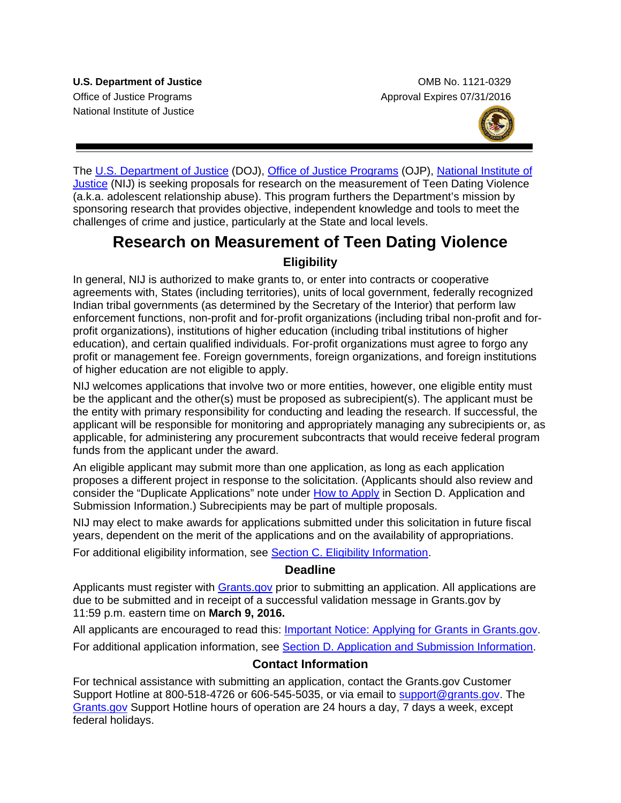National Institute of Justice

**U.S. Department of Justice Combine Accord Combine Combine Combine Combine Combine Combine Combine Combine Combine Combine Combine Combine Combine Combine Combine Combine Combine Combine Combine Combine Combine Combine Com** Office of Justice Programs **Approval Expires 07/31/2016** Approval Expires 07/31/2016



The U.S. [Department of Justice](http://www.usdoj.gov/) (DOJ), [Office of Justice Programs](http://www.ojp.usdoj.gov/) (OJP), [National Institute of](http://www.nij.gov/)  [Justice](http://www.nij.gov/) (NIJ) is seeking proposals for research on the measurement of Teen Dating Violence (a.k.a. adolescent relationship abuse). This program furthers the Department's mission by sponsoring research that provides objective, independent knowledge and tools to meet the challenges of crime and justice, particularly at the State and local levels.

# **Research on Measurement of Teen Dating Violence Eligibility**

In general, NIJ is authorized to make grants to, or enter into contracts or cooperative agreements with, States (including territories), units of local government, federally recognized Indian tribal governments (as determined by the Secretary of the Interior) that perform law enforcement functions, non-profit and for-profit organizations (including tribal non-profit and forprofit organizations), institutions of higher education (including tribal institutions of higher education), and certain qualified individuals. For-profit organizations must agree to forgo any profit or management fee. Foreign governments, foreign organizations, and foreign institutions of higher education are not eligible to apply.

NIJ welcomes applications that involve two or more entities, however, one eligible entity must be the applicant and the other(s) must be proposed as subrecipient(s). The applicant must be the entity with primary responsibility for conducting and leading the research. If successful, the applicant will be responsible for monitoring and appropriately managing any subrecipients or, as applicable, for administering any procurement subcontracts that would receive federal program funds from the applicant under the award.

An eligible applicant may submit more than one application, as long as each application proposes a different project in response to the solicitation. (Applicants should also review and consider the "Duplicate Applications" note under [How to Apply](#page-19-0) in Section D. Application and Submission Information.) Subrecipients may be part of multiple proposals.

NIJ may elect to make awards for applications submitted under this solicitation in future fiscal years, dependent on the merit of the applications and on the availability of appropriations.

For additional eligibility information, see **Section C. Eligibility Information**.

#### **Deadline**

Applicants must register with **Grants.gov** prior to submitting an application. All applications are due to be submitted and in receipt of a successful validation message in Grants.gov by 11:59 p.m. eastern time on **March 9, 2016.**

All applicants are encouraged to read this: **[Important Notice: Applying for Grants in Grants.gov.](http://ojp.gov/funding/Apply/Grants-govInfo.htm)** 

For additional application information, see [Section D. Application and Submission Information.](#page-9-0)

#### **Contact Information**

For technical assistance with submitting an application, contact the Grants.gov Customer Support Hotline at 800-518-4726 or 606-545-5035, or via email to [support@grants.gov.](mailto:support@grants.gov) The [Grants.gov](http://www.grants.gov/applicants/apply_for_grants.jsp) Support Hotline hours of operation are 24 hours a day, 7 days a week, except federal holidays.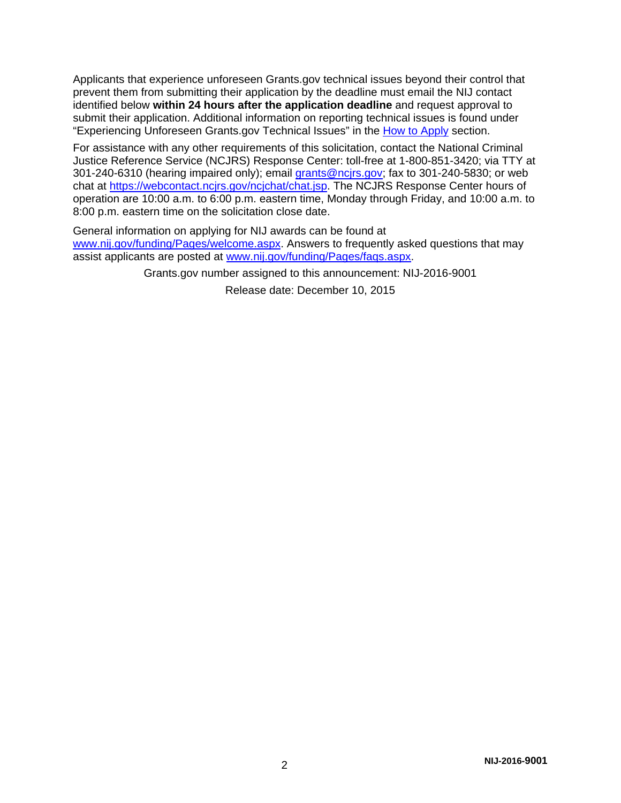Applicants that experience unforeseen Grants.gov technical issues beyond their control that prevent them from submitting their application by the deadline must email the NIJ contact identified below **within 24 hours after the application deadline** and request approval to submit their application. Additional information on reporting technical issues is found under "Experiencing Unforeseen Grants.gov Technical Issues" in the [How to Apply](#page-19-0) section.

For assistance with any other requirements of this solicitation, contact the National Criminal Justice Reference Service (NCJRS) Response Center: toll-free at 1-800-851-3420; via TTY at 301-240-6310 (hearing impaired only); email [grants@ncjrs.gov;](mailto:grants@ncjrs.gov) fax to 301-240-5830; or web chat at https://webcontact.ncjrs.gov/ncjchat/chat.jsp. The NCJRS Response Center hours of operation are 10:00 a.m. to 6:00 p.m. eastern time, Monday through Friday, and 10:00 a.m. to 8:00 p.m. eastern time on the solicitation close date.

General information on applying for NIJ awards can be found at [www.nij.gov/funding/Pages/welcome.aspx.](http://www.nij.gov/funding/Pages/welcome.aspx) Answers to frequently asked questions that may assist applicants are posted at [www.nij.gov/funding/Pages/faqs.aspx.](http://www.nij.gov/funding/Pages/faqs.aspx)

Grants.gov number assigned to this announcement: NIJ-2016-9001

Release date: December 10, 2015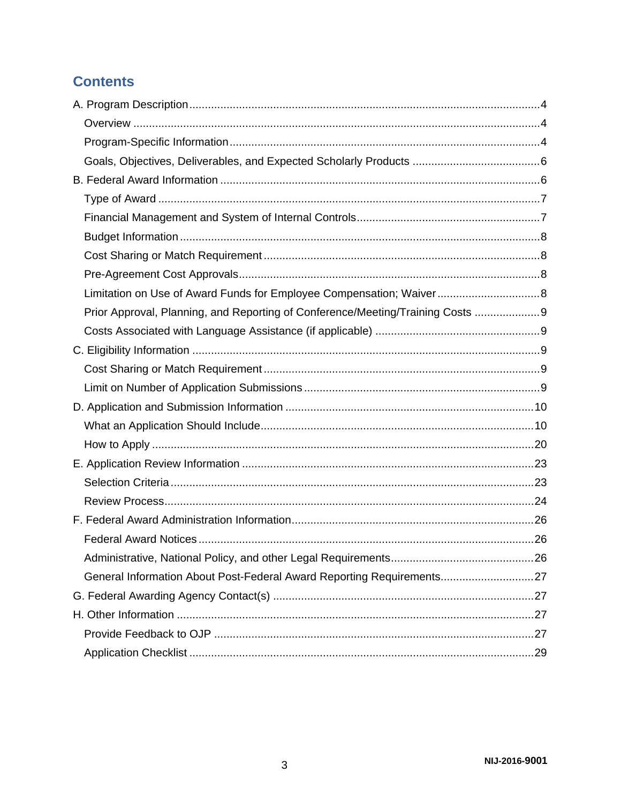# **Contents**

| Limitation on Use of Award Funds for Employee Compensation; Waiver 8            |  |
|---------------------------------------------------------------------------------|--|
| Prior Approval, Planning, and Reporting of Conference/Meeting/Training Costs  9 |  |
|                                                                                 |  |
|                                                                                 |  |
|                                                                                 |  |
|                                                                                 |  |
|                                                                                 |  |
|                                                                                 |  |
|                                                                                 |  |
|                                                                                 |  |
|                                                                                 |  |
|                                                                                 |  |
|                                                                                 |  |
|                                                                                 |  |
|                                                                                 |  |
| General Information About Post-Federal Award Reporting Requirements 27          |  |
|                                                                                 |  |
|                                                                                 |  |
|                                                                                 |  |
|                                                                                 |  |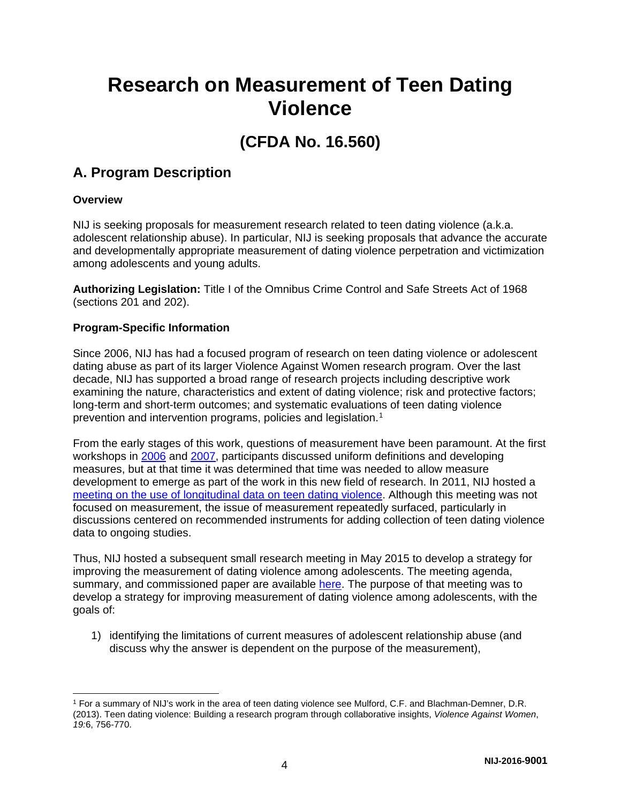# **Research on Measurement of Teen Dating Violence**

# **(CFDA No. 16.560)**

### <span id="page-3-0"></span>**A. Program Description**

#### <span id="page-3-1"></span>**Overview**

NIJ is seeking proposals for measurement research related to teen dating violence (a.k.a. adolescent relationship abuse). In particular, NIJ is seeking proposals that advance the accurate and developmentally appropriate measurement of dating violence perpetration and victimization among adolescents and young adults.

**Authorizing Legislation:** Title I of the Omnibus Crime Control and Safe Streets Act of 1968 (sections 201 and 202).

#### <span id="page-3-2"></span>**Program-Specific Information**

Since 2006, NIJ has had a focused program of research on teen dating violence or adolescent dating abuse as part of its larger Violence Against Women research program. Over the last decade, NIJ has supported a broad range of research projects including descriptive work examining the nature, characteristics and extent of dating violence; risk and protective factors; long-term and short-term outcomes; and systematic evaluations of teen dating violence prevention and intervention programs, policies and legislation.[1](#page-3-3)

From the early stages of this work, questions of measurement have been paramount. At the first workshops in [2006](https://www.ncjrs.gov/pdffiles1/nij/242213.pdf) and [2007,](https://www.ncjrs.gov/pdffiles1/nij/242212.pdf) participants discussed uniform definitions and developing measures, but at that time it was determined that time was needed to allow measure development to emerge as part of the work in this new field of research. In 2011, NIJ hosted a [meeting on the use of longitudinal data on teen dating violence.](https://www.ncjrs.gov/pdffiles1/nij/236303.pdf) Although this meeting was not focused on measurement, the issue of measurement repeatedly surfaced, particularly in discussions centered on recommended instruments for adding collection of teen dating violence data to ongoing studies.

Thus, NIJ hosted a subsequent small research meeting in May 2015 to develop a strategy for improving the measurement of dating violence among adolescents. The meeting agenda, summary, and commissioned paper are available [here.](https://www.ncjrs.gov/pdffiles1/nij/249015.pdf) The purpose of that meeting was to develop a strategy for improving measurement of dating violence among adolescents, with the goals of:

1) identifying the limitations of current measures of adolescent relationship abuse (and discuss why the answer is dependent on the purpose of the measurement),

<span id="page-3-3"></span> <sup>1</sup> For a summary of NIJ's work in the area of teen dating violence see Mulford, C.F. and Blachman-Demner, D.R. (2013). Teen dating violence: Building a research program through collaborative insights, *Violence Against Women*, *19:*6, 756-770.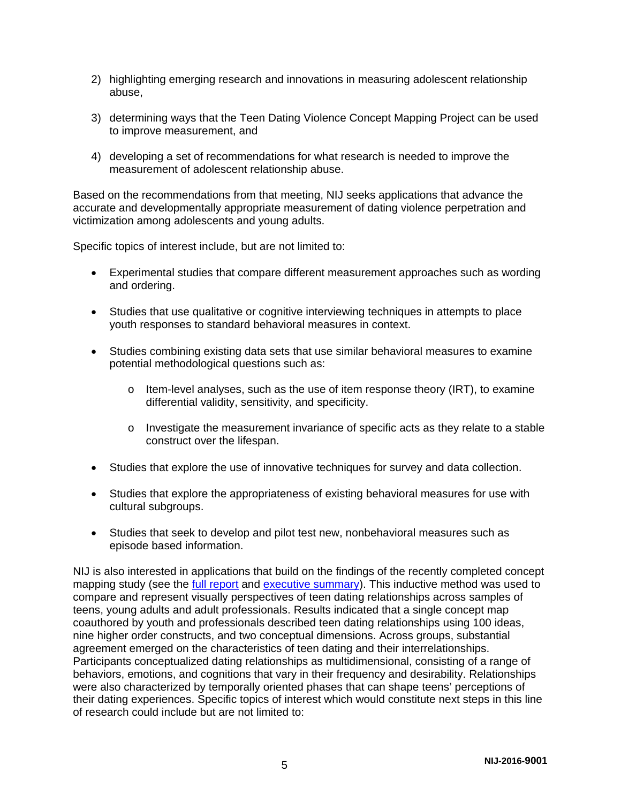- 2) highlighting emerging research and innovations in measuring adolescent relationship abuse,
- 3) determining ways that the Teen Dating Violence Concept Mapping Project can be used to improve measurement, and
- 4) developing a set of recommendations for what research is needed to improve the measurement of adolescent relationship abuse.

Based on the recommendations from that meeting, NIJ seeks applications that advance the accurate and developmentally appropriate measurement of dating violence perpetration and victimization among adolescents and young adults.

Specific topics of interest include, but are not limited to:

- Experimental studies that compare different measurement approaches such as wording and ordering.
- Studies that use qualitative or cognitive interviewing techniques in attempts to place youth responses to standard behavioral measures in context.
- Studies combining existing data sets that use similar behavioral measures to examine potential methodological questions such as:
	- $\circ$  Item-level analyses, such as the use of item response theory (IRT), to examine differential validity, sensitivity, and specificity.
	- $\circ$  Investigate the measurement invariance of specific acts as they relate to a stable construct over the lifespan.
- Studies that explore the use of innovative techniques for survey and data collection.
- Studies that explore the appropriateness of existing behavioral measures for use with cultural subgroups.
- Studies that seek to develop and pilot test new, nonbehavioral measures such as episode based information.

NIJ is also interested in applications that build on the findings of the recently completed concept mapping study (see the [full report](https://www.ncjrs.gov/pdffiles1/nij/grants/248464.pdf) and [executive summary\)](https://www.ncjrs.gov/pdffiles1/nij/grants/248465.pdf). This inductive method was used to compare and represent visually perspectives of teen dating relationships across samples of teens, young adults and adult professionals. Results indicated that a single concept map coauthored by youth and professionals described teen dating relationships using 100 ideas, nine higher order constructs, and two conceptual dimensions. Across groups, substantial agreement emerged on the characteristics of teen dating and their interrelationships. Participants conceptualized dating relationships as multidimensional, consisting of a range of behaviors, emotions, and cognitions that vary in their frequency and desirability. Relationships were also characterized by temporally oriented phases that can shape teens' perceptions of their dating experiences. Specific topics of interest which would constitute next steps in this line of research could include but are not limited to: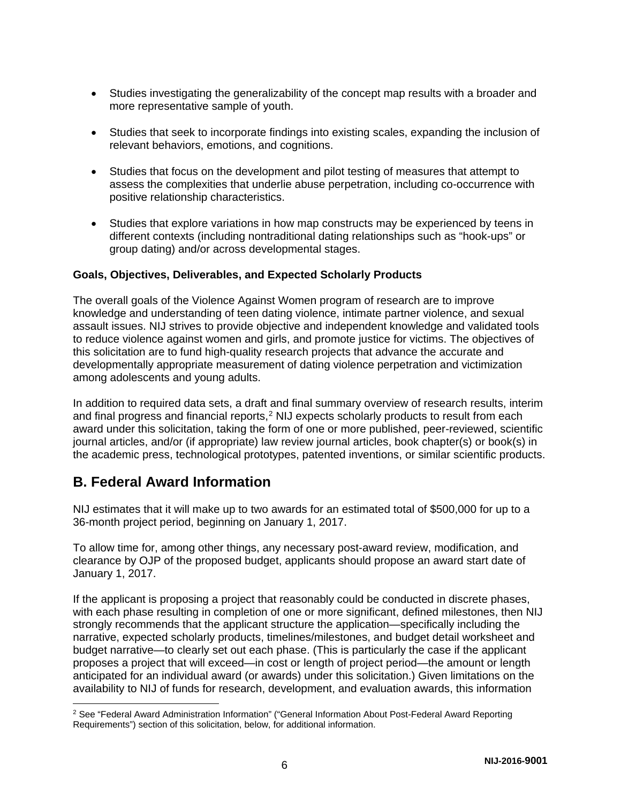- Studies investigating the generalizability of the concept map results with a broader and more representative sample of youth.
- Studies that seek to incorporate findings into existing scales, expanding the inclusion of relevant behaviors, emotions, and cognitions.
- Studies that focus on the development and pilot testing of measures that attempt to assess the complexities that underlie abuse perpetration, including co-occurrence with positive relationship characteristics.
- Studies that explore variations in how map constructs may be experienced by teens in different contexts (including nontraditional dating relationships such as "hook-ups" or group dating) and/or across developmental stages.

#### <span id="page-5-0"></span>**Goals, Objectives, Deliverables, and Expected Scholarly Products**

The overall goals of the Violence Against Women program of research are to improve knowledge and understanding of teen dating violence, intimate partner violence, and sexual assault issues. NIJ strives to provide objective and independent knowledge and validated tools to reduce violence against women and girls, and promote justice for victims. The objectives of this solicitation are to fund high-quality research projects that advance the accurate and developmentally appropriate measurement of dating violence perpetration and victimization among adolescents and young adults.

In addition to required data sets, a draft and final summary overview of research results, interim and final progress and financial reports,<sup>[2](#page-5-2)</sup> NIJ expects scholarly products to result from each award under this solicitation, taking the form of one or more published, peer-reviewed, scientific journal articles, and/or (if appropriate) law review journal articles, book chapter(s) or book(s) in the academic press, technological prototypes, patented inventions, or similar scientific products.

### <span id="page-5-1"></span>**B. Federal Award Information**

NIJ estimates that it will make up to two awards for an estimated total of \$500,000 for up to a 36-month project period, beginning on January 1, 2017.

To allow time for, among other things, any necessary post-award review, modification, and clearance by OJP of the proposed budget, applicants should propose an award start date of January 1, 2017.

If the applicant is proposing a project that reasonably could be conducted in discrete phases, with each phase resulting in completion of one or more significant, defined milestones, then NIJ strongly recommends that the applicant structure the application—specifically including the narrative, expected scholarly products, timelines/milestones, and budget detail worksheet and budget narrative—to clearly set out each phase. (This is particularly the case if the applicant proposes a project that will exceed—in cost or length of project period—the amount or length anticipated for an individual award (or awards) under this solicitation.) Given limitations on the availability to NIJ of funds for research, development, and evaluation awards, this information

<span id="page-5-2"></span><sup>&</sup>lt;sup>2</sup> See "Federal Award Administration Information" ("General Information About Post-Federal Award Reporting Requirements") section of this solicitation, below, for additional information.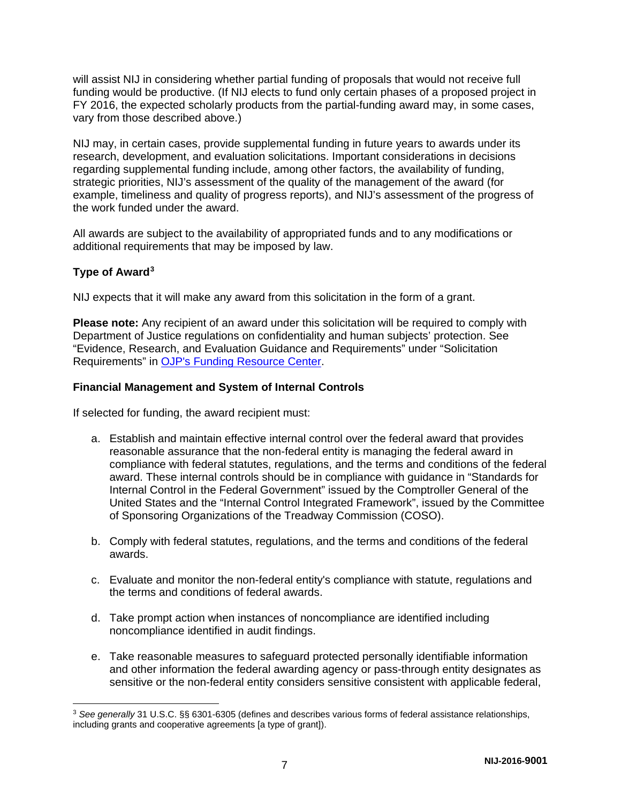will assist NIJ in considering whether partial funding of proposals that would not receive full funding would be productive. (If NIJ elects to fund only certain phases of a proposed project in FY 2016, the expected scholarly products from the partial-funding award may, in some cases, vary from those described above.)

NIJ may, in certain cases, provide supplemental funding in future years to awards under its research, development, and evaluation solicitations. Important considerations in decisions regarding supplemental funding include, among other factors, the availability of funding, strategic priorities, NIJ's assessment of the quality of the management of the award (for example, timeliness and quality of progress reports), and NIJ's assessment of the progress of the work funded under the award.

All awards are subject to the availability of appropriated funds and to any modifications or additional requirements that may be imposed by law.

#### <span id="page-6-0"></span>**Type of Award[3](#page-6-2)**

NIJ expects that it will make any award from this solicitation in the form of a grant.

**Please note:** Any recipient of an award under this solicitation will be required to comply with Department of Justice regulations on confidentiality and human subjects' protection. See "Evidence, Research, and Evaluation Guidance and Requirements" under "Solicitation Requirements" in [OJP's Funding Resource Center.](http://ojp.gov/funding/index.htm)

#### <span id="page-6-1"></span>**Financial Management and System of Internal Controls**

If selected for funding, the award recipient must:

- a. Establish and maintain effective internal control over the federal award that provides reasonable assurance that the non-federal entity is managing the federal award in compliance with federal statutes, regulations, and the terms and conditions of the federal award. These internal controls should be in compliance with guidance in "Standards for Internal Control in the Federal Government" issued by the Comptroller General of the United States and the "Internal Control Integrated Framework", issued by the Committee of Sponsoring Organizations of the Treadway Commission (COSO).
- b. Comply with federal statutes, regulations, and the terms and conditions of the federal awards.
- c. Evaluate and monitor the non-federal entity's compliance with statute, regulations and the terms and conditions of federal awards.
- d. Take prompt action when instances of noncompliance are identified including noncompliance identified in audit findings.
- e. Take reasonable measures to safeguard protected personally identifiable information and other information the federal awarding agency or pass-through entity designates as sensitive or the non-federal entity considers sensitive consistent with applicable federal,

<span id="page-6-2"></span> <sup>3</sup> *See generally* 31 U.S.C. §§ 6301-6305 (defines and describes various forms of federal assistance relationships, including grants and cooperative agreements [a type of grant]).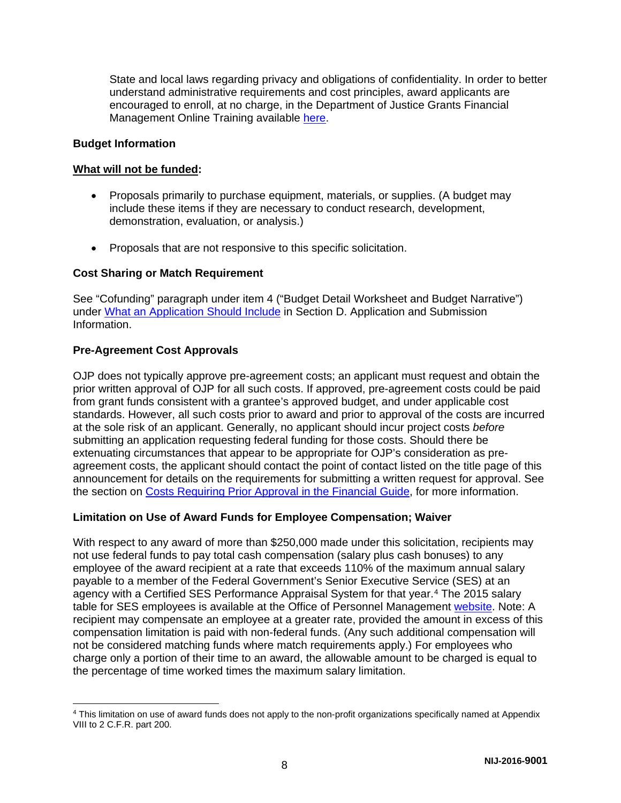State and local laws regarding privacy and obligations of confidentiality. In order to better understand administrative requirements and cost principles, award applicants are encouraged to enroll, at no charge, in the Department of Justice Grants Financial Management Online Training available [here.](http://gfm.webfirst.com/)

#### <span id="page-7-0"></span>**Budget Information**

#### **What will not be funded:**

- Proposals primarily to purchase equipment, materials, or supplies. (A budget may include these items if they are necessary to conduct research, development, demonstration, evaluation, or analysis.)
- Proposals that are not responsive to this specific solicitation.

#### <span id="page-7-1"></span>**Cost Sharing or Match Requirement**

See "Cofunding" paragraph under item 4 ("Budget Detail Worksheet and Budget Narrative") under [What an Application Should Include](#page-9-1) in Section D. Application and Submission Information.

#### <span id="page-7-2"></span>**Pre-Agreement Cost Approvals**

OJP does not typically approve pre-agreement costs; an applicant must request and obtain the prior written approval of OJP for all such costs. If approved, pre-agreement costs could be paid from grant funds consistent with a grantee's approved budget, and under applicable cost standards. However, all such costs prior to award and prior to approval of the costs are incurred at the sole risk of an applicant. Generally, no applicant should incur project costs *before* submitting an application requesting federal funding for those costs. Should there be extenuating circumstances that appear to be appropriate for OJP's consideration as preagreement costs, the applicant should contact the point of contact listed on the title page of this announcement for details on the requirements for submitting a written request for approval. See the section on [Costs Requiring Prior Approval in the Financial Guide,](http://ojp.gov/financialguide/DOJ/PostawardRequirements/chapter3.6b.htm) for more information.

#### <span id="page-7-3"></span>**Limitation on Use of Award Funds for Employee Compensation; Waiver**

With respect to any award of more than \$250,000 made under this solicitation, recipients may not use federal funds to pay total cash compensation (salary plus cash bonuses) to any employee of the award recipient at a rate that exceeds 110% of the maximum annual salary payable to a member of the Federal Government's Senior Executive Service (SES) at an agency with a Certified SES Performance Appraisal System for that year.<sup>[4](#page-7-4)</sup> The 2015 salary table for SES employees is available at the Office of Personnel Management [website.](http://www.opm.gov/policy-data-oversight/pay-leave/salaries-wages/salary-tables/15Tables/exec/html/ES.aspx) Note: A recipient may compensate an employee at a greater rate, provided the amount in excess of this compensation limitation is paid with non-federal funds. (Any such additional compensation will not be considered matching funds where match requirements apply.) For employees who charge only a portion of their time to an award, the allowable amount to be charged is equal to the percentage of time worked times the maximum salary limitation.

<span id="page-7-4"></span> <sup>4</sup> This limitation on use of award funds does not apply to the non-profit organizations specifically named at Appendix VIII to 2 C.F.R. part 200.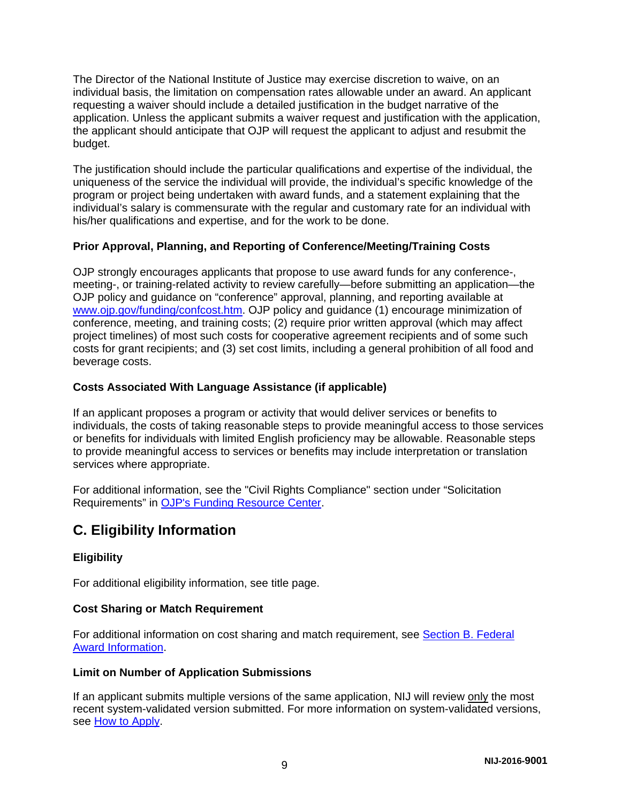The Director of the National Institute of Justice may exercise discretion to waive, on an individual basis, the limitation on compensation rates allowable under an award. An applicant requesting a waiver should include a detailed justification in the budget narrative of the application. Unless the applicant submits a waiver request and justification with the application, the applicant should anticipate that OJP will request the applicant to adjust and resubmit the budget.

The justification should include the particular qualifications and expertise of the individual, the uniqueness of the service the individual will provide, the individual's specific knowledge of the program or project being undertaken with award funds, and a statement explaining that the individual's salary is commensurate with the regular and customary rate for an individual with his/her qualifications and expertise, and for the work to be done.

#### <span id="page-8-1"></span>**Prior Approval, Planning, and Reporting of Conference/Meeting/Training Costs**

OJP strongly encourages applicants that propose to use award funds for any conference-, meeting-, or training-related activity to review carefully—before submitting an application—the OJP policy and guidance on "conference" approval, planning, and reporting available at [www.ojp.gov/funding/confcost.htm.](http://www.ojp.gov/funding/confcost.htm) OJP policy and guidance (1) encourage minimization of conference, meeting, and training costs; (2) require prior written approval (which may affect project timelines) of most such costs for cooperative agreement recipients and of some such costs for grant recipients; and (3) set cost limits, including a general prohibition of all food and beverage costs.

#### <span id="page-8-2"></span>**Costs Associated With Language Assistance (if applicable)**

If an applicant proposes a program or activity that would deliver services or benefits to individuals, the costs of taking reasonable steps to provide meaningful access to those services or benefits for individuals with limited English proficiency may be allowable. Reasonable steps to provide meaningful access to services or benefits may include interpretation or translation services where appropriate.

For additional information, see the "Civil Rights Compliance" section under "Solicitation Requirements" in [OJP's Funding Resource Center.](http://ojp.gov/funding/index.htm)

# <span id="page-8-0"></span>**C. Eligibility Information**

#### **Eligibility**

For additional eligibility information, see title page.

#### <span id="page-8-3"></span>**Cost Sharing or Match Requirement**

For additional information on cost sharing and match requirement, see Section [B. Federal](#page-5-1)  [Award Information.](#page-5-1)

#### <span id="page-8-4"></span>**Limit on Number of Application Submissions**

If an applicant submits multiple versions of the same application, NIJ will review only the most recent system-validated version submitted. For more information on system-validated versions, see [How to Apply.](#page-19-0)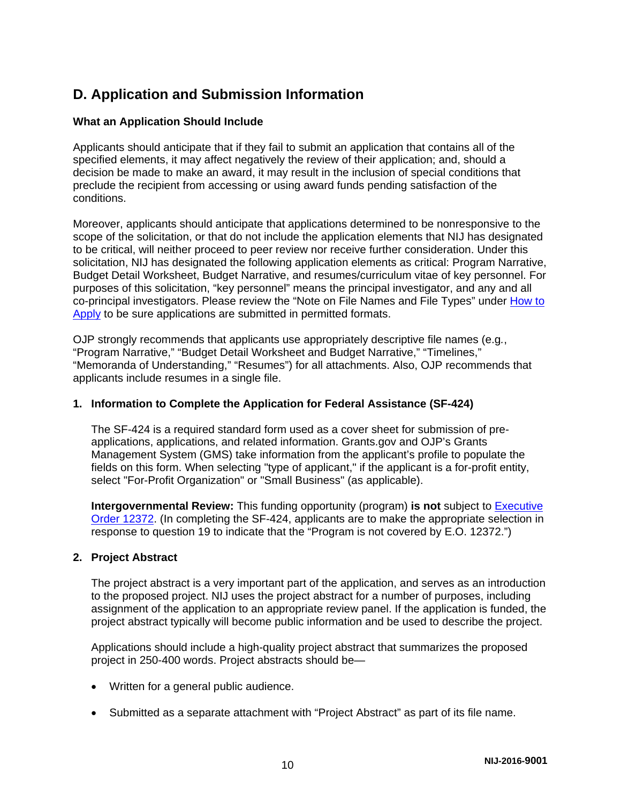# <span id="page-9-0"></span>**D. Application and Submission Information**

#### <span id="page-9-1"></span>**What an Application Should Include**

Applicants should anticipate that if they fail to submit an application that contains all of the specified elements, it may affect negatively the review of their application; and, should a decision be made to make an award, it may result in the inclusion of special conditions that preclude the recipient from accessing or using award funds pending satisfaction of the conditions.

Moreover, applicants should anticipate that applications determined to be nonresponsive to the scope of the solicitation, or that do not include the application elements that NIJ has designated to be critical, will neither proceed to peer review nor receive further consideration. Under this solicitation, NIJ has designated the following application elements as critical: Program Narrative, Budget Detail Worksheet, Budget Narrative, and resumes/curriculum vitae of key personnel. For purposes of this solicitation, "key personnel" means the principal investigator, and any and all co-principal investigators. Please review the "Note on File Names and File Types" under [How to](#page-19-0)  [Apply](#page-19-0) to be sure applications are submitted in permitted formats.

OJP strongly recommends that applicants use appropriately descriptive file names (e.g*.*, "Program Narrative," "Budget Detail Worksheet and Budget Narrative," "Timelines," "Memoranda of Understanding," "Resumes") for all attachments. Also, OJP recommends that applicants include resumes in a single file.

#### **1. Information to Complete the Application for Federal Assistance (SF-424)**

The SF-424 is a required standard form used as a cover sheet for submission of preapplications, applications, and related information. Grants.gov and OJP's Grants Management System (GMS) take information from the applicant's profile to populate the fields on this form. When selecting "type of applicant," if the applicant is a for-profit entity, select "For-Profit Organization" or "Small Business" (as applicable).

**Intergovernmental Review:** This funding opportunity (program) **is not** subject to [Executive](http://www.archives.gov/federal-register/codification/executive-order/12372.html)  [Order 12372.](http://www.archives.gov/federal-register/codification/executive-order/12372.html) (In completing the SF-424, applicants are to make the appropriate selection in response to question 19 to indicate that the "Program is not covered by E.O. 12372.")

#### **2. Project Abstract**

The project abstract is a very important part of the application, and serves as an introduction to the proposed project. NIJ uses the project abstract for a number of purposes, including assignment of the application to an appropriate review panel. If the application is funded, the project abstract typically will become public information and be used to describe the project.

Applications should include a high-quality project abstract that summarizes the proposed project in 250-400 words. Project abstracts should be—

- Written for a general public audience.
- Submitted as a separate attachment with "Project Abstract" as part of its file name.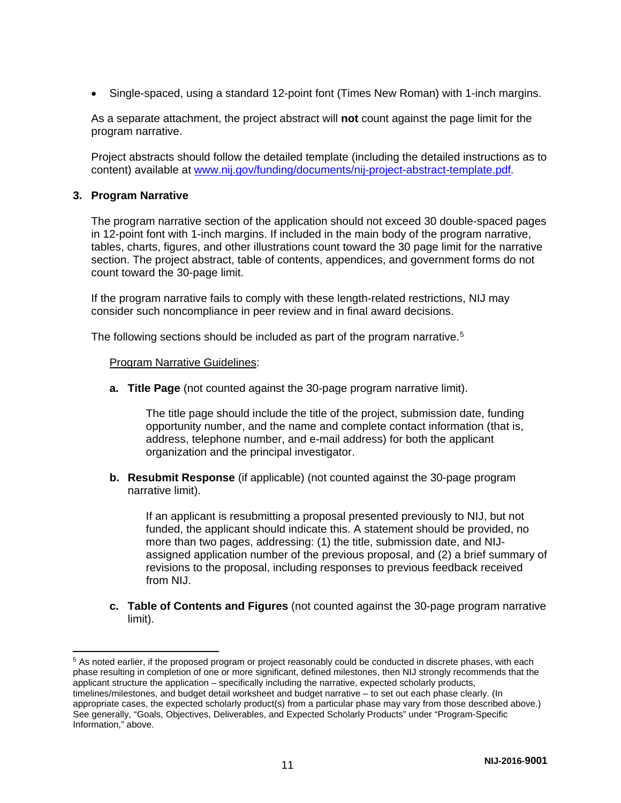• Single-spaced, using a standard 12-point font (Times New Roman) with 1-inch margins.

As a separate attachment, the project abstract will **not** count against the page limit for the program narrative.

Project abstracts should follow the detailed template (including the detailed instructions as to content) available at [www.nij.gov/funding/documents/nij-project-abstract-template.pdf](http://nij.gov/funding/documents/nij-project-abstract-template.pdf)*.*

#### **3. Program Narrative**

The program narrative section of the application should not exceed 30 double-spaced pages in 12-point font with 1-inch margins. If included in the main body of the program narrative, tables, charts, figures, and other illustrations count toward the 30 page limit for the narrative section. The project abstract, table of contents, appendices, and government forms do not count toward the 30-page limit.

If the program narrative fails to comply with these length-related restrictions, NIJ may consider such noncompliance in peer review and in final award decisions.

The following sections should be included as part of the program narrative.<sup>[5](#page-10-0)</sup>

#### Program Narrative Guidelines:

**a. Title Page** (not counted against the 30-page program narrative limit).

The title page should include the title of the project, submission date, funding opportunity number, and the name and complete contact information (that is, address, telephone number, and e-mail address) for both the applicant organization and the principal investigator.

**b. Resubmit Response** (if applicable) (not counted against the 30-page program narrative limit).

If an applicant is resubmitting a proposal presented previously to NIJ, but not funded, the applicant should indicate this. A statement should be provided, no more than two pages, addressing: (1) the title, submission date, and NIJassigned application number of the previous proposal, and (2) a brief summary of revisions to the proposal, including responses to previous feedback received from NIJ.

**c. Table of Contents and Figures** (not counted against the 30-page program narrative limit).

<span id="page-10-0"></span> <sup>5</sup> As noted earlier, if the proposed program or project reasonably could be conducted in discrete phases, with each phase resulting in completion of one or more significant, defined milestones, then NIJ strongly recommends that the applicant structure the application – specifically including the narrative, expected scholarly products, timelines/milestones, and budget detail worksheet and budget narrative – to set out each phase clearly. (In appropriate cases, the expected scholarly product(s) from a particular phase may vary from those described above.) See generally, "Goals, Objectives, Deliverables, and Expected Scholarly Products" under "Program-Specific Information," above.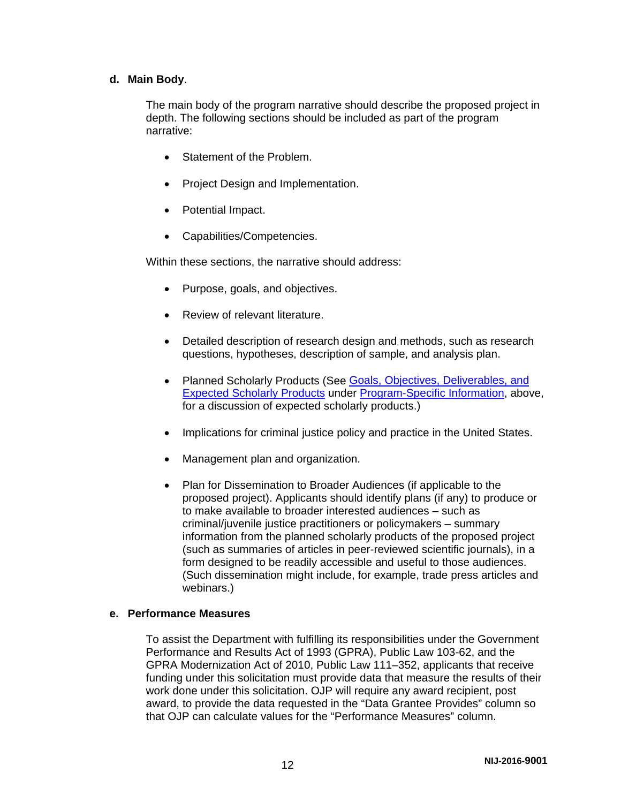#### **d. Main Body**.

The main body of the program narrative should describe the proposed project in depth. The following sections should be included as part of the program narrative:

- Statement of the Problem.
- Project Design and Implementation.
- Potential Impact.
- Capabilities/Competencies.

Within these sections, the narrative should address:

- Purpose, goals, and objectives.
- Review of relevant literature.
- Detailed description of research design and methods, such as research questions, hypotheses, description of sample, and analysis plan.
- Planned Scholarly Products (See Goals, Objectives, Deliverables, and [Expected Scholarly Products](#page-5-0) under [Program-Specific Information,](#page-3-2) above, for a discussion of expected scholarly products.)
- Implications for criminal justice policy and practice in the United States.
- Management plan and organization.
- Plan for Dissemination to Broader Audiences (if applicable to the proposed project). Applicants should identify plans (if any) to produce or to make available to broader interested audiences – such as criminal/juvenile justice practitioners or policymakers – summary information from the planned scholarly products of the proposed project (such as summaries of articles in peer-reviewed scientific journals), in a form designed to be readily accessible and useful to those audiences. (Such dissemination might include, for example, trade press articles and webinars.)

#### **e. Performance Measures**

To assist the Department with fulfilling its responsibilities under the Government Performance and Results Act of 1993 (GPRA), Public Law 103-62, and the GPRA Modernization Act of 2010, Public Law 111–352, applicants that receive funding under this solicitation must provide data that measure the results of their work done under this solicitation. OJP will require any award recipient, post award, to provide the data requested in the "Data Grantee Provides" column so that OJP can calculate values for the "Performance Measures" column.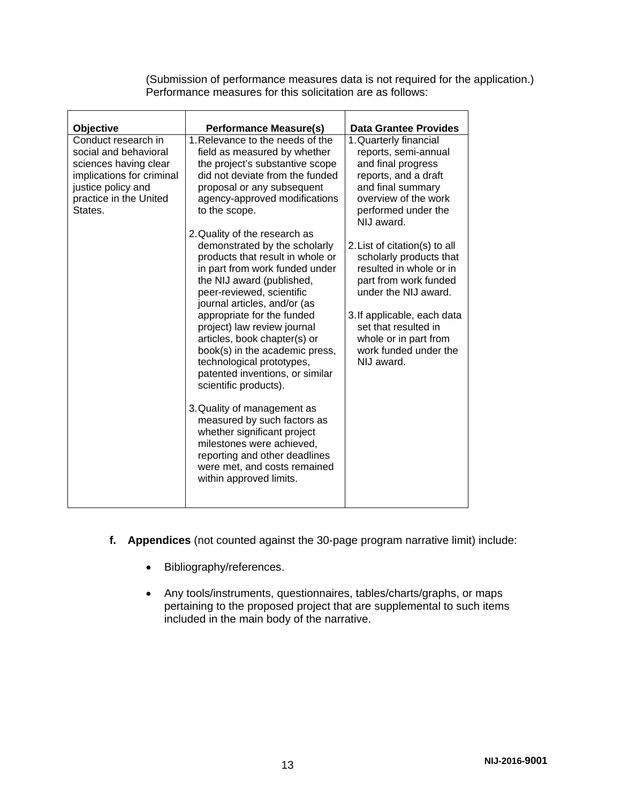(Submission of performance measures data is not required for the application.) Performance measures for this solicitation are as follows:

|                                                                                                                                                                            |                                                                                                                                                                                                                                                                                                                                                                                                                                                                                                                                                                                                                                                                              | <b>Data Grantee Provides</b>                                                                                                                                                                                                                                |
|----------------------------------------------------------------------------------------------------------------------------------------------------------------------------|------------------------------------------------------------------------------------------------------------------------------------------------------------------------------------------------------------------------------------------------------------------------------------------------------------------------------------------------------------------------------------------------------------------------------------------------------------------------------------------------------------------------------------------------------------------------------------------------------------------------------------------------------------------------------|-------------------------------------------------------------------------------------------------------------------------------------------------------------------------------------------------------------------------------------------------------------|
| Objective<br>Conduct research in<br>social and behavioral<br>sciences having clear<br>implications for criminal<br>justice policy and<br>practice in the United<br>States. | <b>Performance Measure(s)</b><br>1. Relevance to the needs of the<br>field as measured by whether<br>the project's substantive scope<br>did not deviate from the funded<br>proposal or any subsequent<br>agency-approved modifications<br>to the scope.                                                                                                                                                                                                                                                                                                                                                                                                                      | 1. Quarterly financial<br>reports, semi-annual<br>and final progress<br>reports, and a draft<br>and final summary<br>overview of the work<br>performed under the<br>NIJ award.                                                                              |
|                                                                                                                                                                            | 2. Quality of the research as<br>demonstrated by the scholarly<br>products that result in whole or<br>in part from work funded under<br>the NIJ award (published,<br>peer-reviewed, scientific<br>journal articles, and/or (as<br>appropriate for the funded<br>project) law review journal<br>articles, book chapter(s) or<br>book(s) in the academic press,<br>technological prototypes,<br>patented inventions, or similar<br>scientific products).<br>3. Quality of management as<br>measured by such factors as<br>whether significant project<br>milestones were achieved,<br>reporting and other deadlines<br>were met, and costs remained<br>within approved limits. | 2. List of citation(s) to all<br>scholarly products that<br>resulted in whole or in<br>part from work funded<br>under the NIJ award.<br>3. If applicable, each data<br>set that resulted in<br>whole or in part from<br>work funded under the<br>NIJ award. |

- **f. Appendices** (not counted against the 30-page program narrative limit) include:
	- Bibliography/references.
	- Any tools/instruments, questionnaires, tables/charts/graphs, or maps pertaining to the proposed project that are supplemental to such items included in the main body of the narrative.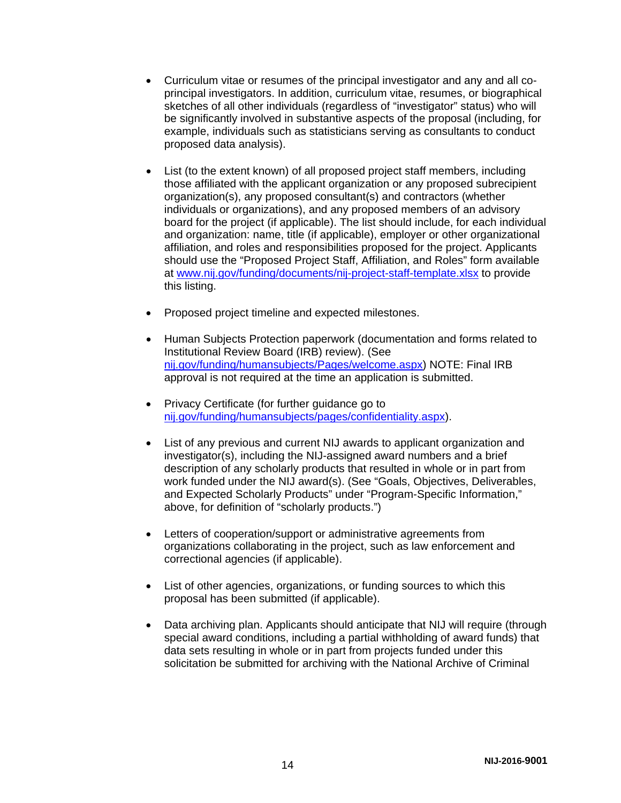- Curriculum vitae or resumes of the principal investigator and any and all coprincipal investigators. In addition, curriculum vitae, resumes, or biographical sketches of all other individuals (regardless of "investigator" status) who will be significantly involved in substantive aspects of the proposal (including, for example, individuals such as statisticians serving as consultants to conduct proposed data analysis).
- List (to the extent known) of all proposed project staff members, including those affiliated with the applicant organization or any proposed subrecipient organization(s), any proposed consultant(s) and contractors (whether individuals or organizations), and any proposed members of an advisory board for the project (if applicable). The list should include, for each individual and organization: name, title (if applicable), employer or other organizational affiliation, and roles and responsibilities proposed for the project. Applicants should use the "Proposed Project Staff, Affiliation, and Roles" form available at [www.nij.gov/funding/documents/nij-project-staff-template.xlsx](http://www.nij.gov/funding/documents/nij-project-staff-template.xlsx) to provide this listing.
- Proposed project timeline and expected milestones.
- Human Subjects Protection paperwork (documentation and forms related to Institutional Review Board (IRB) review). (See [nij.gov/funding/humansubjects/Pages/welcome.aspx\)](http://nij.gov/funding/humansubjects/Pages/welcome.aspx) NOTE: Final IRB approval is not required at the time an application is submitted.
- Privacy Certificate (for further guidance go to [nij.gov/funding/humansubjects/pages/confidentiality.aspx\)](http://nij.gov/funding/humansubjects/pages/confidentiality.aspx).
- List of any previous and current NIJ awards to applicant organization and investigator(s), including the NIJ-assigned award numbers and a brief description of any scholarly products that resulted in whole or in part from work funded under the NIJ award(s). (See "Goals, Objectives, Deliverables, and Expected Scholarly Products" under "Program-Specific Information," above, for definition of "scholarly products.")
- Letters of cooperation/support or administrative agreements from organizations collaborating in the project, such as law enforcement and correctional agencies (if applicable).
- List of other agencies, organizations, or funding sources to which this proposal has been submitted (if applicable).
- Data archiving plan. Applicants should anticipate that NIJ will require (through special award conditions, including a partial withholding of award funds) that data sets resulting in whole or in part from projects funded under this solicitation be submitted for archiving with the National Archive of Criminal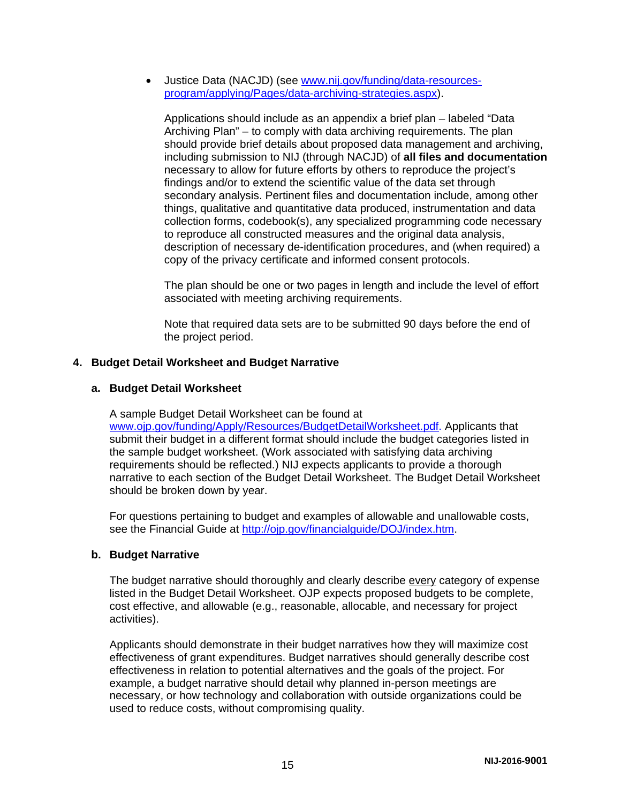• Justice Data (NACJD) (see [www.nij.gov/funding/data-resources](http://www.nij.gov/funding/data-resources-program/applying/Pages/data-archiving-strategies.aspx)[program/applying/Pages/data-archiving-strategies.aspx\)](http://www.nij.gov/funding/data-resources-program/applying/Pages/data-archiving-strategies.aspx).

Applications should include as an appendix a brief plan – labeled "Data Archiving Plan" – to comply with data archiving requirements. The plan should provide brief details about proposed data management and archiving, including submission to NIJ (through NACJD) of **all files and documentation** necessary to allow for future efforts by others to reproduce the project's findings and/or to extend the scientific value of the data set through secondary analysis. Pertinent files and documentation include, among other things, qualitative and quantitative data produced, instrumentation and data collection forms, codebook(s), any specialized programming code necessary to reproduce all constructed measures and the original data analysis, description of necessary de-identification procedures, and (when required) a copy of the privacy certificate and informed consent protocols.

The plan should be one or two pages in length and include the level of effort associated with meeting archiving requirements.

Note that required data sets are to be submitted 90 days before the end of the project period.

#### **4. Budget Detail Worksheet and Budget Narrative**

#### **a. Budget Detail Worksheet**

A sample Budget Detail Worksheet can be found at [www.ojp.gov/funding/Apply/Resources/BudgetDetailWorksheet.pdf.](http://ojp.gov/funding/Apply/Resources/BudgetDetailWorksheet.pdf) Applicants that submit their budget in a different format should include the budget categories listed in the sample budget worksheet. (Work associated with satisfying data archiving requirements should be reflected.) NIJ expects applicants to provide a thorough narrative to each section of the Budget Detail Worksheet. The Budget Detail Worksheet should be broken down by year.

For questions pertaining to budget and examples of allowable and unallowable costs, see the Financial Guide at [http://ojp.gov/financialguide/DOJ/index.htm.](http://ojp.gov/financialguide/DOJ/index.htm)

#### **b. Budget Narrative**

The budget narrative should thoroughly and clearly describe every category of expense listed in the Budget Detail Worksheet. OJP expects proposed budgets to be complete, cost effective, and allowable (e.g., reasonable, allocable, and necessary for project activities).

Applicants should demonstrate in their budget narratives how they will maximize cost effectiveness of grant expenditures. Budget narratives should generally describe cost effectiveness in relation to potential alternatives and the goals of the project. For example, a budget narrative should detail why planned in-person meetings are necessary, or how technology and collaboration with outside organizations could be used to reduce costs, without compromising quality.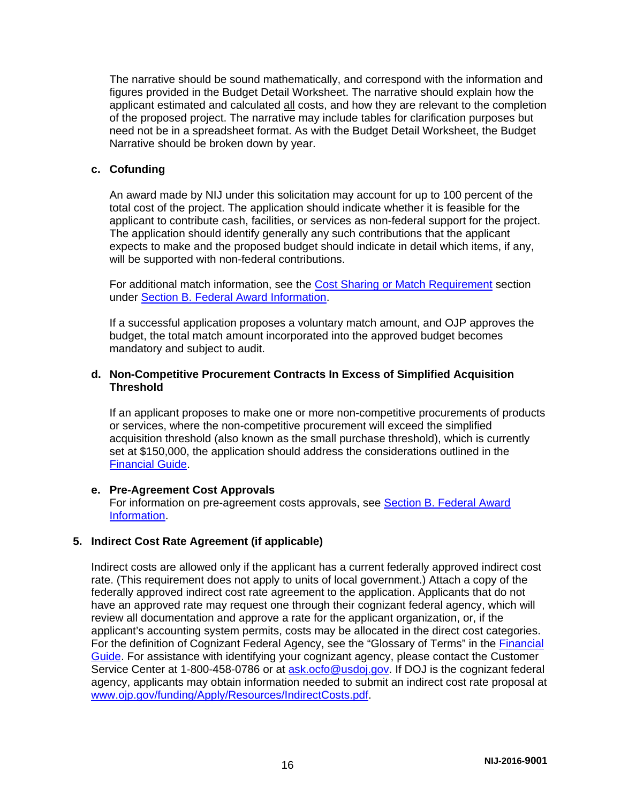The narrative should be sound mathematically, and correspond with the information and figures provided in the Budget Detail Worksheet. The narrative should explain how the applicant estimated and calculated all costs, and how they are relevant to the completion of the proposed project. The narrative may include tables for clarification purposes but need not be in a spreadsheet format. As with the Budget Detail Worksheet, the Budget Narrative should be broken down by year.

#### **c. Cofunding**

An award made by NIJ under this solicitation may account for up to 100 percent of the total cost of the project. The application should indicate whether it is feasible for the applicant to contribute cash, facilities, or services as non-federal support for the project. The application should identify generally any such contributions that the applicant expects to make and the proposed budget should indicate in detail which items, if any, will be supported with non-federal contributions.

For additional match information, see the [Cost Sharing or Match Requirement](#page-7-1) section under [Section B. Federal Award Information.](#page-5-1)

If a successful application proposes a voluntary match amount, and OJP approves the budget, the total match amount incorporated into the approved budget becomes mandatory and subject to audit.

#### **d. Non-Competitive Procurement Contracts In Excess of Simplified Acquisition Threshold**

If an applicant proposes to make one or more non-competitive procurements of products or services, where the non-competitive procurement will exceed the simplified acquisition threshold (also known as the small purchase threshold), which is currently set at \$150,000, the application should address the considerations outlined in the [Financial Guide.](http://ojp.gov/financialguide/DOJ/index.htm)

#### **e. Pre-Agreement Cost Approvals**

For information on pre-agreement costs approvals, see [Section B. Federal Award](#page-5-1)  [Information.](#page-5-1)

#### **5. Indirect Cost Rate Agreement (if applicable)**

Indirect costs are allowed only if the applicant has a current federally approved indirect cost rate. (This requirement does not apply to units of local government.) Attach a copy of the federally approved indirect cost rate agreement to the application. Applicants that do not have an approved rate may request one through their cognizant federal agency, which will review all documentation and approve a rate for the applicant organization, or, if the applicant's accounting system permits, costs may be allocated in the direct cost categories. For the definition of Cognizant Federal Agency, see the "Glossary of Terms" in the [Financial](http://ojp.gov/financialguide/DOJ/index.htm)  [Guide.](http://ojp.gov/financialguide/DOJ/index.htm) For assistance with identifying your cognizant agency, please contact the Customer Service Center at 1-800-458-0786 or at [ask.ocfo@usdoj.gov.](mailto:ask.ocfo@usdoj.gov) If DOJ is the cognizant federal agency, applicants may obtain information needed to submit an indirect cost rate proposal at [www.ojp.gov/funding/Apply/Resources/IndirectCosts.pdf.](http://www.ojp.gov/funding/Apply/Resources/IndirectCosts.pdf)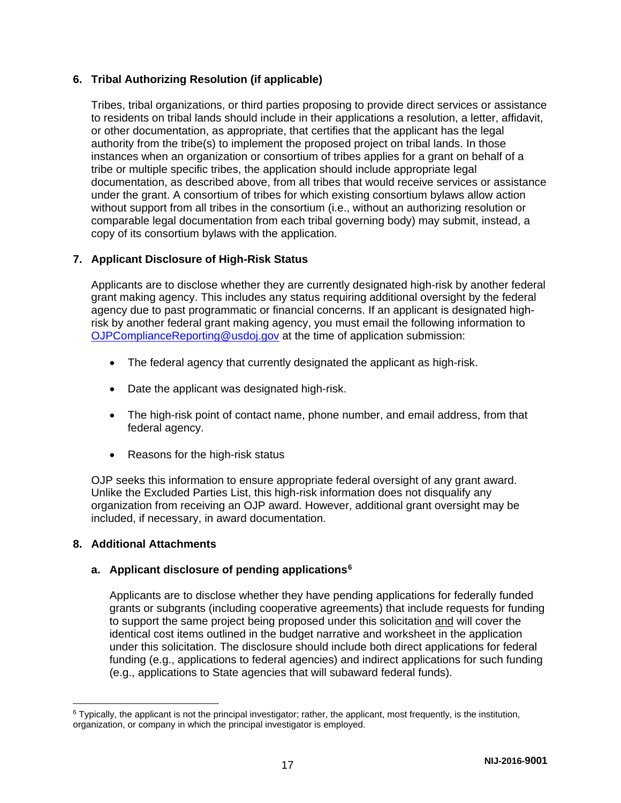#### **6. Tribal Authorizing Resolution (if applicable)**

Tribes, tribal organizations, or third parties proposing to provide direct services or assistance to residents on tribal lands should include in their applications a resolution, a letter, affidavit, or other documentation, as appropriate, that certifies that the applicant has the legal authority from the tribe(s) to implement the proposed project on tribal lands. In those instances when an organization or consortium of tribes applies for a grant on behalf of a tribe or multiple specific tribes, the application should include appropriate legal documentation, as described above, from all tribes that would receive services or assistance under the grant. A consortium of tribes for which existing consortium bylaws allow action without support from all tribes in the consortium (i.e., without an authorizing resolution or comparable legal documentation from each tribal governing body) may submit, instead, a copy of its consortium bylaws with the application.

#### **7. Applicant Disclosure of High-Risk Status**

Applicants are to disclose whether they are currently designated high-risk by another federal grant making agency. This includes any status requiring additional oversight by the federal agency due to past programmatic or financial concerns. If an applicant is designated highrisk by another federal grant making agency, you must email the following information to [OJPComplianceReporting@usdoj.gov](mailto:OJPComplianceReporting@usdoj.gov) at the time of application submission:

- The federal agency that currently designated the applicant as high-risk.
- Date the applicant was designated high-risk.
- The high-risk point of contact name, phone number, and email address, from that federal agency.
- Reasons for the high-risk status

OJP seeks this information to ensure appropriate federal oversight of any grant award. Unlike the Excluded Parties List, this high-risk information does not disqualify any organization from receiving an OJP award. However, additional grant oversight may be included, if necessary, in award documentation.

#### **8. Additional Attachments**

#### **a. Applicant disclosure of pending applications[6](#page-16-0)**

Applicants are to disclose whether they have pending applications for federally funded grants or subgrants (including cooperative agreements) that include requests for funding to support the same project being proposed under this solicitation and will cover the identical cost items outlined in the budget narrative and worksheet in the application under this solicitation. The disclosure should include both direct applications for federal funding (e.g., applications to federal agencies) and indirect applications for such funding (e.g., applications to State agencies that will subaward federal funds).

<span id="page-16-0"></span> $6$  Typically, the applicant is not the principal investigator; rather, the applicant, most frequently, is the institution, organization, or company in which the principal investigator is employed.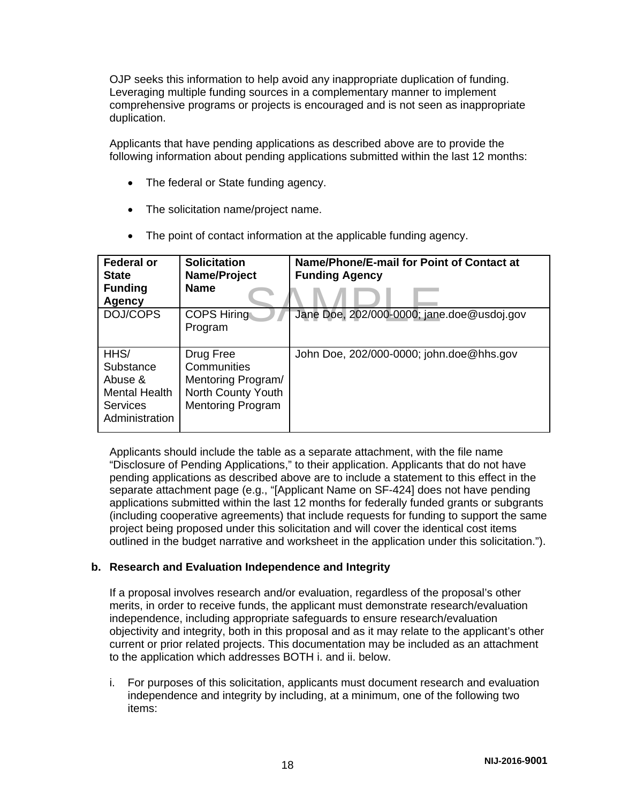OJP seeks this information to help avoid any inappropriate duplication of funding. Leveraging multiple funding sources in a complementary manner to implement comprehensive programs or projects is encouraged and is not seen as inappropriate duplication.

Applicants that have pending applications as described above are to provide the following information about pending applications submitted within the last 12 months:

- The federal or State funding agency.
- The solicitation name/project name.

|  | The point of contact information at the applicable funding agency. |  |  |
|--|--------------------------------------------------------------------|--|--|
|--|--------------------------------------------------------------------|--|--|

| <b>Federal or</b><br><b>State</b><br><b>Funding</b><br><b>Agency</b>               | <b>Solicitation</b><br>Name/Project<br><b>Name</b>                                               | Name/Phone/E-mail for Point of Contact at<br><b>Funding Agency</b> |
|------------------------------------------------------------------------------------|--------------------------------------------------------------------------------------------------|--------------------------------------------------------------------|
| DOJ/COPS                                                                           | <b>COPS Hiring</b><br>Program                                                                    | Jane Doe, 202/000-0000; jane.doe@usdoj.gov                         |
| HHS/<br>Substance<br>Abuse &<br>Mental Health<br><b>Services</b><br>Administration | Drug Free<br>Communities<br>Mentoring Program/<br>North County Youth<br><b>Mentoring Program</b> | John Doe, 202/000-0000; john.doe@hhs.gov                           |

Applicants should include the table as a separate attachment, with the file name "Disclosure of Pending Applications," to their application. Applicants that do not have pending applications as described above are to include a statement to this effect in the separate attachment page (e.g., "[Applicant Name on SF-424] does not have pending applications submitted within the last 12 months for federally funded grants or subgrants (including cooperative agreements) that include requests for funding to support the same project being proposed under this solicitation and will cover the identical cost items outlined in the budget narrative and worksheet in the application under this solicitation.").

#### **b. Research and Evaluation Independence and Integrity**

If a proposal involves research and/or evaluation, regardless of the proposal's other merits, in order to receive funds, the applicant must demonstrate research/evaluation independence, including appropriate safeguards to ensure research/evaluation objectivity and integrity, both in this proposal and as it may relate to the applicant's other current or prior related projects. This documentation may be included as an attachment to the application which addresses BOTH i. and ii. below.

i. For purposes of this solicitation, applicants must document research and evaluation independence and integrity by including, at a minimum, one of the following two items: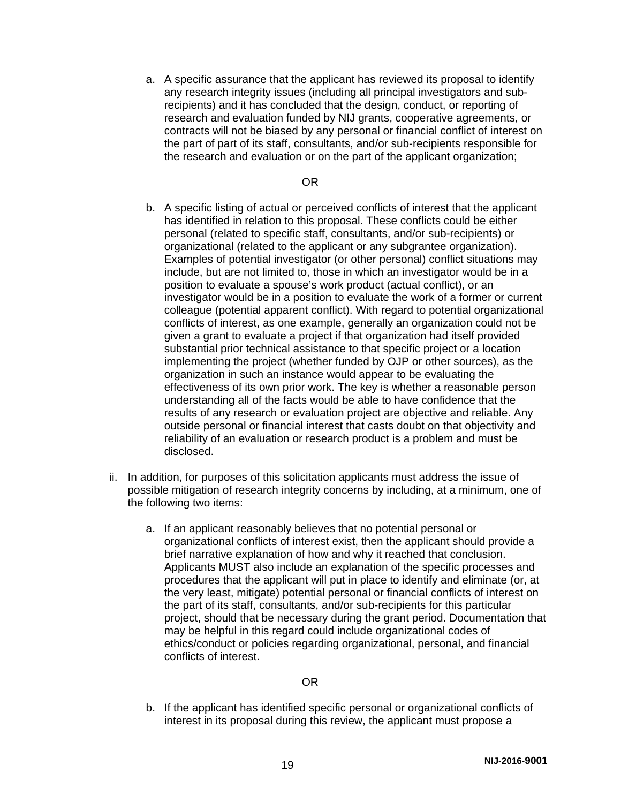a. A specific assurance that the applicant has reviewed its proposal to identify any research integrity issues (including all principal investigators and subrecipients) and it has concluded that the design, conduct, or reporting of research and evaluation funded by NIJ grants, cooperative agreements, or contracts will not be biased by any personal or financial conflict of interest on the part of part of its staff, consultants, and/or sub-recipients responsible for the research and evaluation or on the part of the applicant organization;

#### OR

- b. A specific listing of actual or perceived conflicts of interest that the applicant has identified in relation to this proposal. These conflicts could be either personal (related to specific staff, consultants, and/or sub-recipients) or organizational (related to the applicant or any subgrantee organization). Examples of potential investigator (or other personal) conflict situations may include, but are not limited to, those in which an investigator would be in a position to evaluate a spouse's work product (actual conflict), or an investigator would be in a position to evaluate the work of a former or current colleague (potential apparent conflict). With regard to potential organizational conflicts of interest, as one example, generally an organization could not be given a grant to evaluate a project if that organization had itself provided substantial prior technical assistance to that specific project or a location implementing the project (whether funded by OJP or other sources), as the organization in such an instance would appear to be evaluating the effectiveness of its own prior work. The key is whether a reasonable person understanding all of the facts would be able to have confidence that the results of any research or evaluation project are objective and reliable. Any outside personal or financial interest that casts doubt on that objectivity and reliability of an evaluation or research product is a problem and must be disclosed.
- ii. In addition, for purposes of this solicitation applicants must address the issue of possible mitigation of research integrity concerns by including, at a minimum, one of the following two items:
	- a. If an applicant reasonably believes that no potential personal or organizational conflicts of interest exist, then the applicant should provide a brief narrative explanation of how and why it reached that conclusion. Applicants MUST also include an explanation of the specific processes and procedures that the applicant will put in place to identify and eliminate (or, at the very least, mitigate) potential personal or financial conflicts of interest on the part of its staff, consultants, and/or sub-recipients for this particular project, should that be necessary during the grant period. Documentation that may be helpful in this regard could include organizational codes of ethics/conduct or policies regarding organizational, personal, and financial conflicts of interest.

#### OR

b. If the applicant has identified specific personal or organizational conflicts of interest in its proposal during this review, the applicant must propose a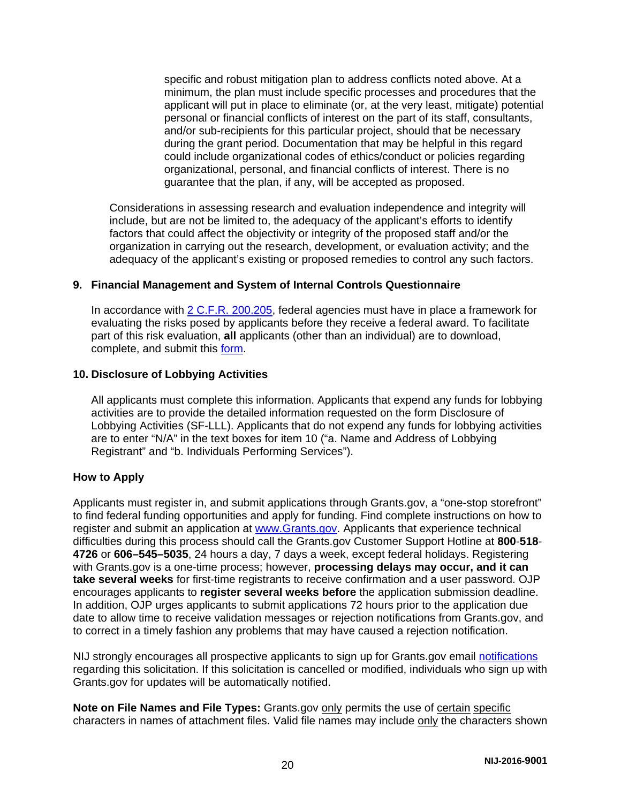specific and robust mitigation plan to address conflicts noted above. At a minimum, the plan must include specific processes and procedures that the applicant will put in place to eliminate (or, at the very least, mitigate) potential personal or financial conflicts of interest on the part of its staff, consultants, and/or sub-recipients for this particular project, should that be necessary during the grant period. Documentation that may be helpful in this regard could include organizational codes of ethics/conduct or policies regarding organizational, personal, and financial conflicts of interest. There is no guarantee that the plan, if any, will be accepted as proposed.

Considerations in assessing research and evaluation independence and integrity will include, but are not be limited to, the adequacy of the applicant's efforts to identify factors that could affect the objectivity or integrity of the proposed staff and/or the organization in carrying out the research, development, or evaluation activity; and the adequacy of the applicant's existing or proposed remedies to control any such factors.

#### **9. Financial Management and System of Internal Controls Questionnaire**

In accordance with [2 C.F.R. 200.205,](http://www.ecfr.gov/cgi-bin/text-idx?SID=2ebfb13012953333f32ed4cf1411e33e&node=pt2.1.200&rgn=div5#se2.1.200_1205) federal agencies must have in place a framework for evaluating the risks posed by applicants before they receive a federal award. To facilitate part of this risk evaluation, **all** applicants (other than an individual) are to download, complete, and submit this [form.](http://ojp.gov/funding/Apply/Resources/FinancialCapability.pdf)

#### **10. Disclosure of Lobbying Activities**

All applicants must complete this information. Applicants that expend any funds for lobbying activities are to provide the detailed information requested on the form Disclosure of Lobbying Activities (SF-LLL). Applicants that do not expend any funds for lobbying activities are to enter "N/A" in the text boxes for item 10 ("a. Name and Address of Lobbying Registrant" and "b. Individuals Performing Services").

#### <span id="page-19-0"></span>**How to Apply**

Applicants must register in, and submit applications through Grants.gov, a "one-stop storefront" to find federal funding opportunities and apply for funding. Find complete instructions on how to register and submit an application at [www.Grants.gov.](http://www.grants.gov/) Applicants that experience technical difficulties during this process should call the Grants.gov Customer Support Hotline at **800**-**518**- **4726** or **606–545–5035**, 24 hours a day, 7 days a week, except federal holidays. Registering with Grants.gov is a one-time process; however, **processing delays may occur, and it can take several weeks** for first-time registrants to receive confirmation and a user password. OJP encourages applicants to **register several weeks before** the application submission deadline. In addition, OJP urges applicants to submit applications 72 hours prior to the application due date to allow time to receive validation messages or rejection notifications from Grants.gov, and to correct in a timely fashion any problems that may have caused a rejection notification.

NIJ strongly encourages all prospective applicants to sign up for Grants.gov email [notifications](http://www.grants.gov/web/grants/manage-subscriptions.html) regarding this solicitation. If this solicitation is cancelled or modified, individuals who sign up with Grants.gov for updates will be automatically notified.

**Note on File Names and File Types:** Grants.gov only permits the use of certain specific characters in names of attachment files. Valid file names may include only the characters shown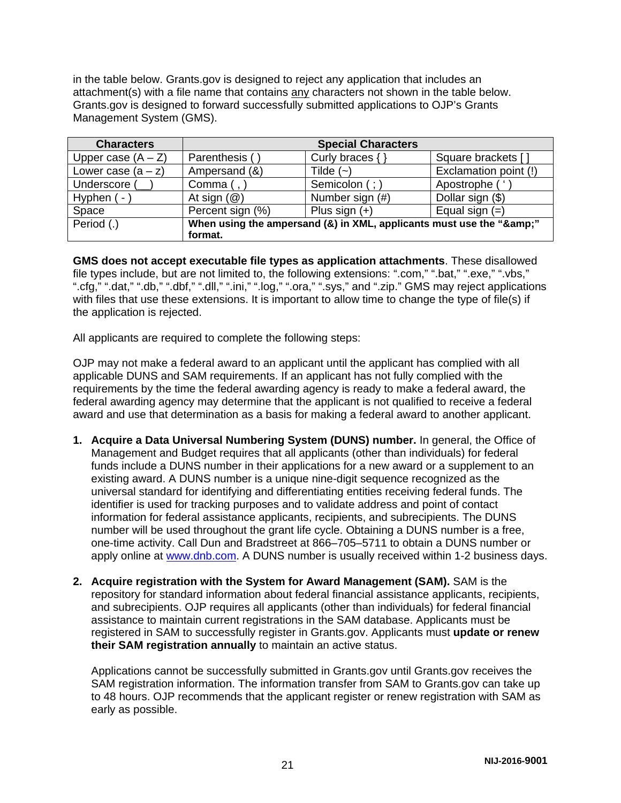in the table below. Grants.gov is designed to reject any application that includes an attachment(s) with a file name that contains any characters not shown in the table below. Grants.gov is designed to forward successfully submitted applications to OJP's Grants Management System (GMS).

| <b>Characters</b>    | <b>Special Characters</b>                                        |                      |                       |
|----------------------|------------------------------------------------------------------|----------------------|-----------------------|
| Upper case $(A - Z)$ | Parenthesis (                                                    | Curly braces $\{ \}$ | Square brackets []    |
| Lower case $(a - z)$ | Ampersand (&)                                                    | Tilde $(-)$          | Exclamation point (!) |
| Underscore (         | Comma $($ , $)$                                                  | Semicolon (; )       | Apostrophe ('         |
| Hyphen (-            | At sign $(\mathcal{Q})$                                          | Number sign (#)      | Dollar sign (\$)      |
| Space                | Percent sign (%)                                                 | Plus sign $(+)$      | Equal sign $(=)$      |
| Period (.)           | When using the ampersand (&) in XML, applicants must use the "&" |                      |                       |
|                      | format.                                                          |                      |                       |

**GMS does not accept executable file types as application attachments**. These disallowed file types include, but are not limited to, the following extensions: ".com," ".bat," ".exe," ".vbs," ".cfg," ".dat," ".db," ".dbf," ".dll," ".ini," ".log," ".ora," ".sys," and ".zip." GMS may reject applications with files that use these extensions. It is important to allow time to change the type of file(s) if the application is rejected.

All applicants are required to complete the following steps:

OJP may not make a federal award to an applicant until the applicant has complied with all applicable DUNS and SAM requirements. If an applicant has not fully complied with the requirements by the time the federal awarding agency is ready to make a federal award, the federal awarding agency may determine that the applicant is not qualified to receive a federal award and use that determination as a basis for making a federal award to another applicant.

- **1. Acquire a Data Universal Numbering System (DUNS) number.** In general, the Office of Management and Budget requires that all applicants (other than individuals) for federal funds include a DUNS number in their applications for a new award or a supplement to an existing award. A DUNS number is a unique nine-digit sequence recognized as the universal standard for identifying and differentiating entities receiving federal funds. The identifier is used for tracking purposes and to validate address and point of contact information for federal assistance applicants, recipients, and subrecipients. The DUNS number will be used throughout the grant life cycle. Obtaining a DUNS number is a free, one-time activity. Call Dun and Bradstreet at 866–705–5711 to obtain a DUNS number or apply online at [www.dnb.com.](http://www.dnb.com/) A DUNS number is usually received within 1-2 business days.
- **2. Acquire registration with the System for Award Management (SAM).** SAM is the repository for standard information about federal financial assistance applicants, recipients, and subrecipients. OJP requires all applicants (other than individuals) for federal financial assistance to maintain current registrations in the SAM database. Applicants must be registered in SAM to successfully register in Grants.gov. Applicants must **update or renew their SAM registration annually** to maintain an active status.

Applications cannot be successfully submitted in Grants.gov until Grants.gov receives the SAM registration information. The information transfer from SAM to Grants.gov can take up to 48 hours. OJP recommends that the applicant register or renew registration with SAM as early as possible.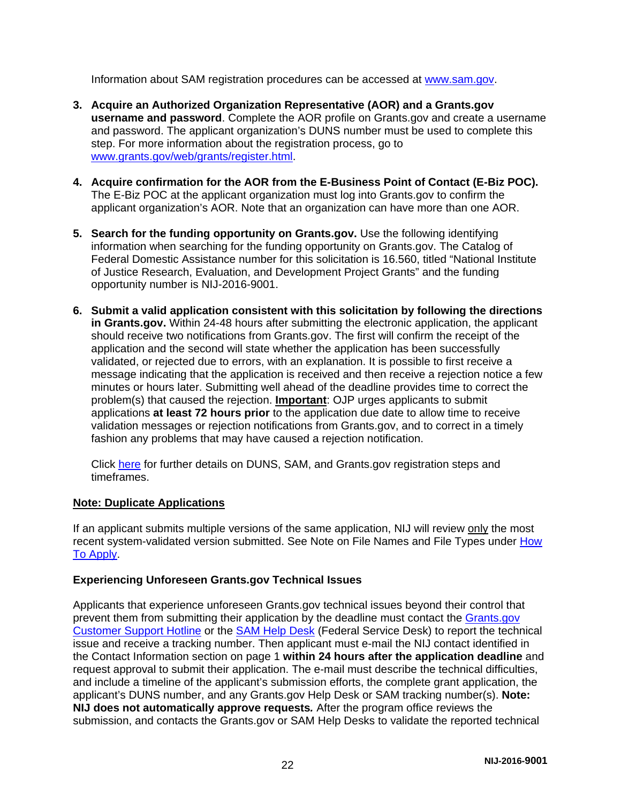Information about SAM registration procedures can be accessed at [www.sam.gov.](https://www.sam.gov/portal/public/SAM/?portal:componentId=1f834b82-3fed-4eb3-a1f8-ea1f226a7955&portal:type=action&interactionstate=JBPNS_rO0ABXc0ABBfanNmQnJpZGdlVmlld0lkAAAAAQATL2pzZi9uYXZpZ2F0aW9uLmpzcAAHX19FT0ZfXw**)

- **3. Acquire an Authorized Organization Representative (AOR) and a Grants.gov username and password**. Complete the AOR profile on Grants.gov and create a username and password. The applicant organization's DUNS number must be used to complete this step. For more information about the registration process, go to [www.grants.gov/web/grants/register.html.](http://www.grants.gov/web/grants/register.html)
- **4. Acquire confirmation for the AOR from the E-Business Point of Contact (E-Biz POC).**  The E-Biz POC at the applicant organization must log into Grants.gov to confirm the applicant organization's AOR. Note that an organization can have more than one AOR.
- **5. Search for the funding opportunity on Grants.gov.** Use the following identifying information when searching for the funding opportunity on Grants.gov. The Catalog of Federal Domestic Assistance number for this solicitation is 16.560, titled "National Institute of Justice Research, Evaluation, and Development Project Grants" and the funding opportunity number is NIJ-2016-9001.
- **6. Submit a valid application consistent with this solicitation by following the directions in Grants.gov.** Within 24-48 hours after submitting the electronic application, the applicant should receive two notifications from Grants.gov. The first will confirm the receipt of the application and the second will state whether the application has been successfully validated, or rejected due to errors, with an explanation. It is possible to first receive a message indicating that the application is received and then receive a rejection notice a few minutes or hours later. Submitting well ahead of the deadline provides time to correct the problem(s) that caused the rejection. **Important**: OJP urges applicants to submit applications **at least 72 hours prior** to the application due date to allow time to receive validation messages or rejection notifications from Grants.gov, and to correct in a timely fashion any problems that may have caused a rejection notification.

Click [here](http://www.grants.gov/web/grants/applicants/organization-registration.html) for further details on DUNS, SAM, and Grants.gov registration steps and timeframes.

#### **Note: Duplicate Applications**

If an applicant submits multiple versions of the same application, NIJ will review only the most recent system-validated version submitted. See Note on File Names and File Types under [How](#page-19-0)  [To Apply.](#page-19-0)

#### **Experiencing Unforeseen Grants.gov Technical Issues**

Applicants that experience unforeseen Grants.gov technical issues beyond their control that prevent them from submitting their application by the deadline must contact the [Grants.gov](mailto:support@grants.gov)  [Customer Support Hotline](mailto:support@grants.gov) or the [SAM Help Desk](http://www.fsd.gov/) (Federal Service Desk) to report the technical issue and receive a tracking number. Then applicant must e-mail the NIJ contact identified in the Contact Information section on page 1 **within 24 hours after the application deadline** and request approval to submit their application. The e-mail must describe the technical difficulties, and include a timeline of the applicant's submission efforts, the complete grant application, the applicant's DUNS number, and any Grants.gov Help Desk or SAM tracking number(s). **Note: NIJ does not automatically approve requests***.* After the program office reviews the submission, and contacts the Grants.gov or SAM Help Desks to validate the reported technical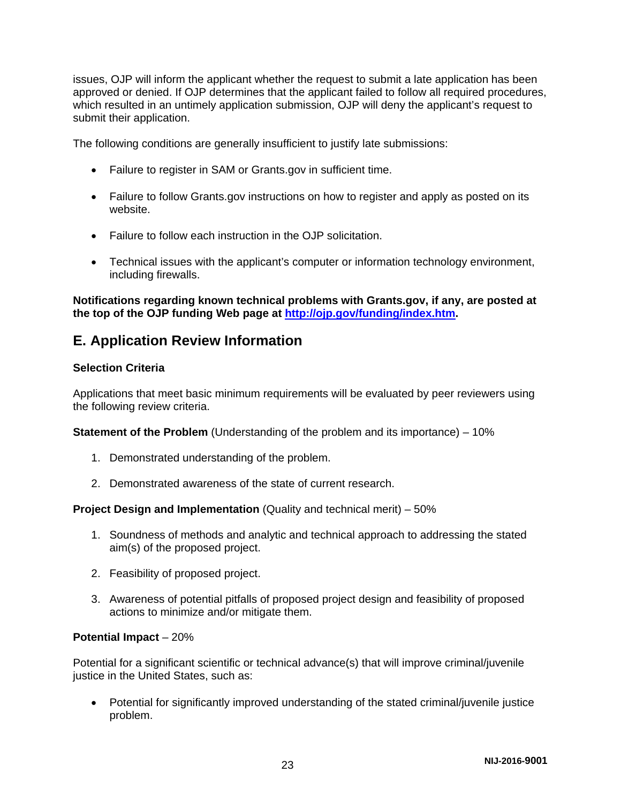issues, OJP will inform the applicant whether the request to submit a late application has been approved or denied. If OJP determines that the applicant failed to follow all required procedures, which resulted in an untimely application submission, OJP will deny the applicant's request to submit their application.

The following conditions are generally insufficient to justify late submissions:

- Failure to register in SAM or Grants.gov in sufficient time.
- Failure to follow Grants.gov instructions on how to register and apply as posted on its website.
- Failure to follow each instruction in the OJP solicitation.
- Technical issues with the applicant's computer or information technology environment, including firewalls.

**Notifications regarding known technical problems with Grants.gov, if any, are posted at the top of the OJP funding Web page at [http://ojp.gov/funding/index.htm.](http://ojp.gov/funding/index.htm)**

### <span id="page-22-0"></span>**E. Application Review Information**

#### <span id="page-22-1"></span>**Selection Criteria**

Applications that meet basic minimum requirements will be evaluated by peer reviewers using the following review criteria.

**Statement of the Problem** (Understanding of the problem and its importance) – 10%

- 1. Demonstrated understanding of the problem.
- 2. Demonstrated awareness of the state of current research.

**Project Design and Implementation** (Quality and technical merit) – 50%

- 1. Soundness of methods and analytic and technical approach to addressing the stated aim(s) of the proposed project.
- 2. Feasibility of proposed project.
- 3. Awareness of potential pitfalls of proposed project design and feasibility of proposed actions to minimize and/or mitigate them.

#### **Potential Impact** – 20%

Potential for a significant scientific or technical advance(s) that will improve criminal/juvenile justice in the United States, such as:

• Potential for significantly improved understanding of the stated criminal/juvenile justice problem.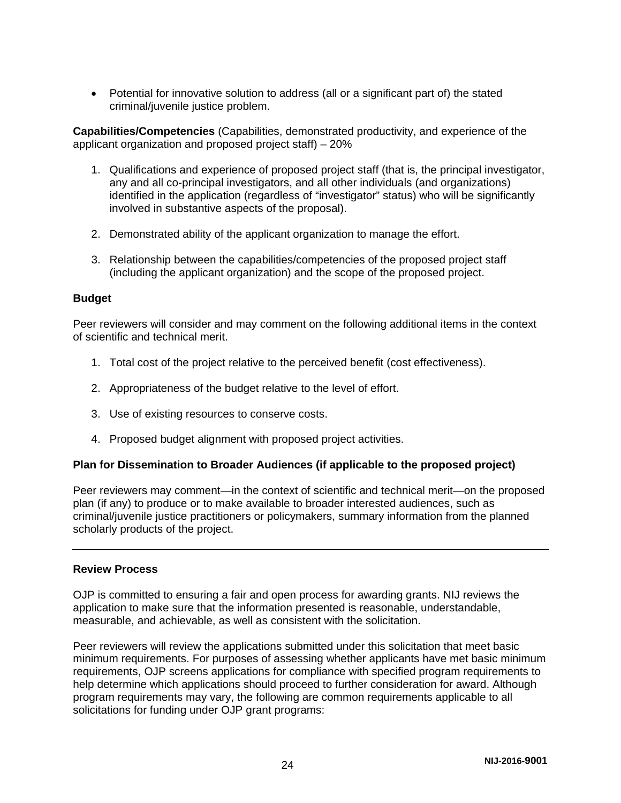• Potential for innovative solution to address (all or a significant part of) the stated criminal/juvenile justice problem.

**Capabilities/Competencies** (Capabilities, demonstrated productivity, and experience of the applicant organization and proposed project staff) – 20%

- 1. Qualifications and experience of proposed project staff (that is, the principal investigator, any and all co-principal investigators, and all other individuals (and organizations) identified in the application (regardless of "investigator" status) who will be significantly involved in substantive aspects of the proposal).
- 2. Demonstrated ability of the applicant organization to manage the effort.
- 3. Relationship between the capabilities/competencies of the proposed project staff (including the applicant organization) and the scope of the proposed project.

#### **Budget**

Peer reviewers will consider and may comment on the following additional items in the context of scientific and technical merit.

- 1. Total cost of the project relative to the perceived benefit (cost effectiveness).
- 2. Appropriateness of the budget relative to the level of effort.
- 3. Use of existing resources to conserve costs.
- 4. Proposed budget alignment with proposed project activities.

#### **Plan for Dissemination to Broader Audiences (if applicable to the proposed project)**

Peer reviewers may comment—in the context of scientific and technical merit—on the proposed plan (if any) to produce or to make available to broader interested audiences, such as criminal/juvenile justice practitioners or policymakers, summary information from the planned scholarly products of the project.

#### <span id="page-23-0"></span>**Review Process**

OJP is committed to ensuring a fair and open process for awarding grants. NIJ reviews the application to make sure that the information presented is reasonable, understandable, measurable, and achievable, as well as consistent with the solicitation.

Peer reviewers will review the applications submitted under this solicitation that meet basic minimum requirements. For purposes of assessing whether applicants have met basic minimum requirements, OJP screens applications for compliance with specified program requirements to help determine which applications should proceed to further consideration for award. Although program requirements may vary, the following are common requirements applicable to all solicitations for funding under OJP grant programs: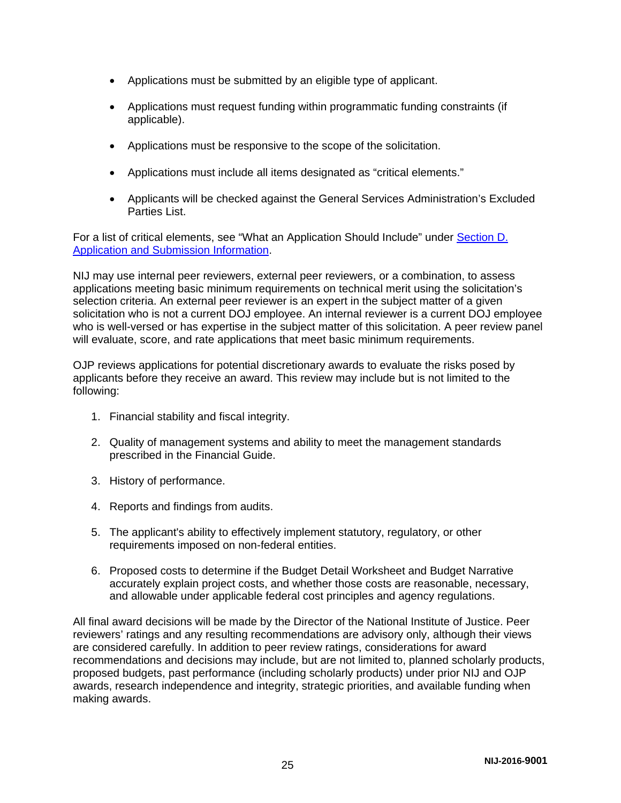- Applications must be submitted by an eligible type of applicant.
- Applications must request funding within programmatic funding constraints (if applicable).
- Applications must be responsive to the scope of the solicitation.
- Applications must include all items designated as "critical elements."
- Applicants will be checked against the General Services Administration's Excluded Parties List.

For a list of critical elements, see "What an Application Should Include" under [Section D.](#page-9-0)  [Application and Submission Information.](#page-9-0)

NIJ may use internal peer reviewers, external peer reviewers, or a combination, to assess applications meeting basic minimum requirements on technical merit using the solicitation's selection criteria. An external peer reviewer is an expert in the subject matter of a given solicitation who is not a current DOJ employee. An internal reviewer is a current DOJ employee who is well-versed or has expertise in the subject matter of this solicitation. A peer review panel will evaluate, score, and rate applications that meet basic minimum requirements.

OJP reviews applications for potential discretionary awards to evaluate the risks posed by applicants before they receive an award. This review may include but is not limited to the following:

- 1. Financial stability and fiscal integrity.
- 2. Quality of management systems and ability to meet the management standards prescribed in the Financial Guide.
- 3. History of performance.
- 4. Reports and findings from audits.
- 5. The applicant's ability to effectively implement statutory, regulatory, or other requirements imposed on non-federal entities.
- 6. Proposed costs to determine if the Budget Detail Worksheet and Budget Narrative accurately explain project costs, and whether those costs are reasonable, necessary, and allowable under applicable federal cost principles and agency regulations.

All final award decisions will be made by the Director of the National Institute of Justice. Peer reviewers' ratings and any resulting recommendations are advisory only, although their views are considered carefully. In addition to peer review ratings, considerations for award recommendations and decisions may include, but are not limited to, planned scholarly products, proposed budgets, past performance (including scholarly products) under prior NIJ and OJP awards, research independence and integrity, strategic priorities, and available funding when making awards.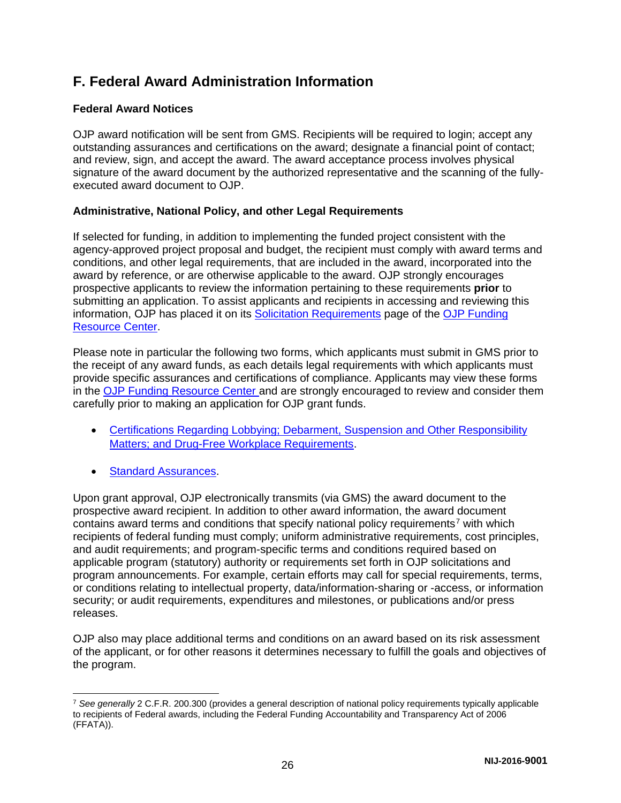### <span id="page-25-0"></span>**F. Federal Award Administration Information**

#### <span id="page-25-1"></span>**Federal Award Notices**

OJP award notification will be sent from GMS. Recipients will be required to login; accept any outstanding assurances and certifications on the award; designate a financial point of contact; and review, sign, and accept the award. The award acceptance process involves physical signature of the award document by the authorized representative and the scanning of the fullyexecuted award document to OJP.

#### <span id="page-25-2"></span>**Administrative, National Policy, and other Legal Requirements**

If selected for funding, in addition to implementing the funded project consistent with the agency-approved project proposal and budget, the recipient must comply with award terms and conditions, and other legal requirements, that are included in the award, incorporated into the award by reference, or are otherwise applicable to the award. OJP strongly encourages prospective applicants to review the information pertaining to these requirements **prior** to submitting an application. To assist applicants and recipients in accessing and reviewing this information, OJP has placed it on its [Solicitation Requirements](http://ojp.gov/funding/Explore/SolicitationRequirements/index.htm) page of the [OJP Funding](http://ojp.gov/funding/index.htm)  [Resource Center.](http://ojp.gov/funding/index.htm)

Please note in particular the following two forms, which applicants must submit in GMS prior to the receipt of any award funds, as each details legal requirements with which applicants must provide specific assurances and certifications of compliance. Applicants may view these forms in the [OJP Funding Resource Center](http://ojp.gov/funding/index.htm) and are strongly encouraged to review and consider them carefully prior to making an application for OJP grant funds.

- [Certifications Regarding Lobbying; Debarment, Suspension and Other Responsibility](http://ojp.gov/funding/Apply/Resources/Certifications.pdf)  [Matters; and Drug-Free Workplace Requirements.](http://ojp.gov/funding/Apply/Resources/Certifications.pdf)
- [Standard Assurances.](http://ojp.gov/funding/Apply/Resources/StandardAssurances.pdf)

Upon grant approval, OJP electronically transmits (via GMS) the award document to the prospective award recipient. In addition to other award information, the award document contains award terms and conditions that specify national policy requirements<sup>[7](#page-25-3)</sup> with which recipients of federal funding must comply; uniform administrative requirements, cost principles, and audit requirements; and program-specific terms and conditions required based on applicable program (statutory) authority or requirements set forth in OJP solicitations and program announcements. For example, certain efforts may call for special requirements, terms, or conditions relating to intellectual property, data/information-sharing or -access, or information security; or audit requirements, expenditures and milestones, or publications and/or press releases.

OJP also may place additional terms and conditions on an award based on its risk assessment of the applicant, or for other reasons it determines necessary to fulfill the goals and objectives of the program.

<span id="page-25-3"></span> <sup>7</sup> *See generally* 2 C.F.R. 200.300 (provides a general description of national policy requirements typically applicable to recipients of Federal awards, including the Federal Funding Accountability and Transparency Act of 2006 (FFATA)).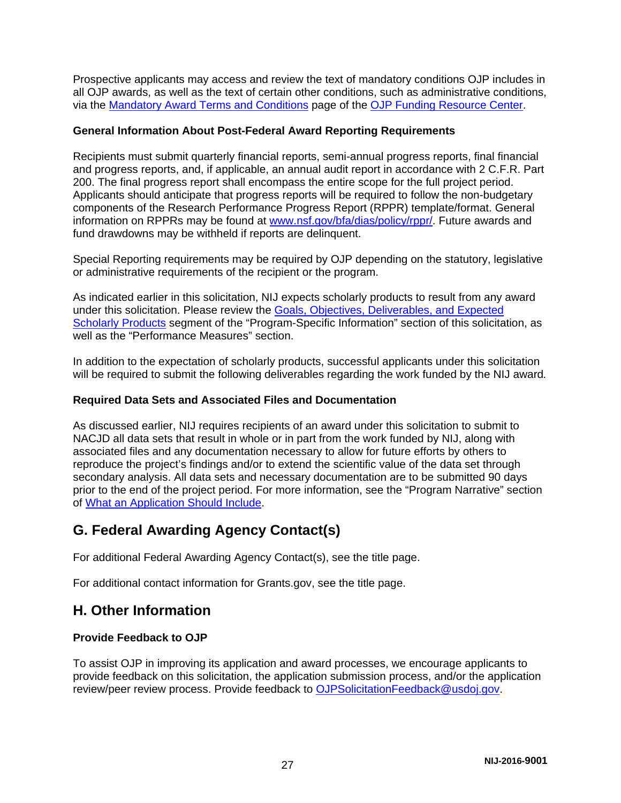Prospective applicants may access and review the text of mandatory conditions OJP includes in all OJP awards, as well as the text of certain other conditions, such as administrative conditions, via the [Mandatory Award Terms and Conditions](http://ojp.gov/funding/Explore/SolicitationRequirements/MandatoryTermsConditions.htm) page of the [OJP Funding Resource Center.](http://ojp.gov/funding/index.htm)

#### <span id="page-26-0"></span>**General Information About Post-Federal Award Reporting Requirements**

Recipients must submit quarterly financial reports, semi-annual progress reports, final financial and progress reports, and, if applicable, an annual audit report in accordance with 2 C.F.R. Part 200. The final progress report shall encompass the entire scope for the full project period. Applicants should anticipate that progress reports will be required to follow the non-budgetary components of the Research Performance Progress Report (RPPR) template/format. General information on RPPRs may be found at [www.nsf.gov/bfa/dias/policy/rppr/.](http://www.nsf.gov/bfa/dias/policy/rppr/) Future awards and fund drawdowns may be withheld if reports are delinquent.

Special Reporting requirements may be required by OJP depending on the statutory, legislative or administrative requirements of the recipient or the program.

As indicated earlier in this solicitation, NIJ expects scholarly products to result from any award under this solicitation. Please review the Goals, Objectives, Deliverables, and Expected [Scholarly Products](#page-5-0) segment of the "Program-Specific Information" section of this solicitation, as well as the "Performance Measures" section.

In addition to the expectation of scholarly products, successful applicants under this solicitation will be required to submit the following deliverables regarding the work funded by the NIJ award*.*

#### **Required Data Sets and Associated Files and Documentation**

As discussed earlier, NIJ requires recipients of an award under this solicitation to submit to NACJD all data sets that result in whole or in part from the work funded by NIJ, along with associated files and any documentation necessary to allow for future efforts by others to reproduce the project's findings and/or to extend the scientific value of the data set through secondary analysis. All data sets and necessary documentation are to be submitted 90 days prior to the end of the project period. For more information, see the "Program Narrative" section of [What an Application Should Include.](#page-9-1)

### <span id="page-26-1"></span>**G. Federal Awarding Agency Contact(s)**

For additional Federal Awarding Agency Contact(s), see the title page.

For additional contact information for Grants.gov, see the title page.

### <span id="page-26-2"></span>**H. Other Information**

#### <span id="page-26-3"></span>**Provide Feedback to OJP**

To assist OJP in improving its application and award processes, we encourage applicants to provide feedback on this solicitation, the application submission process, and/or the application review/peer review process. Provide feedback to **OJPSolicitationFeedback@usdoj.gov**.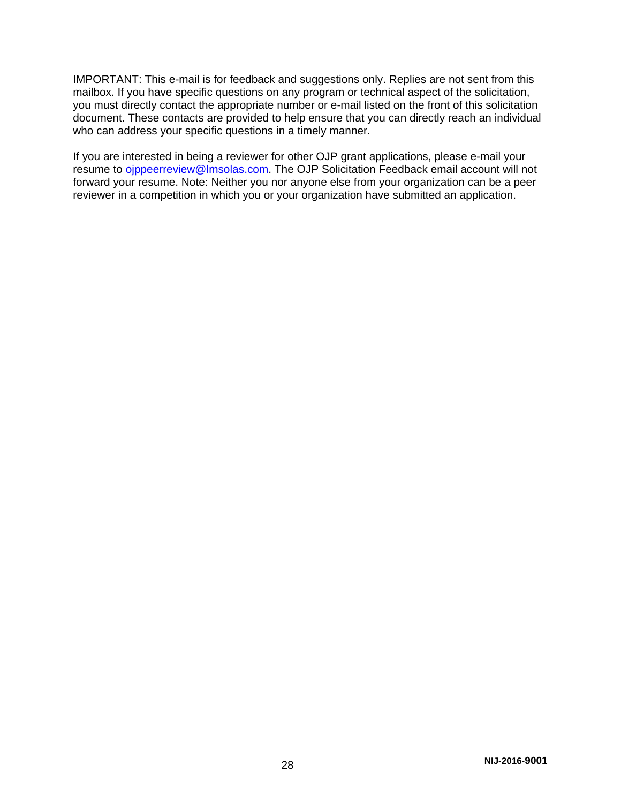IMPORTANT: This e-mail is for feedback and suggestions only. Replies are not sent from this mailbox. If you have specific questions on any program or technical aspect of the solicitation, you must directly contact the appropriate number or e-mail listed on the front of this solicitation document. These contacts are provided to help ensure that you can directly reach an individual who can address your specific questions in a timely manner.

If you are interested in being a reviewer for other OJP grant applications, please e-mail your resume to **ojppeerreview@lmsolas.com**. The OJP Solicitation Feedback email account will not forward your resume. Note: Neither you nor anyone else from your organization can be a peer reviewer in a competition in which you or your organization have submitted an application.